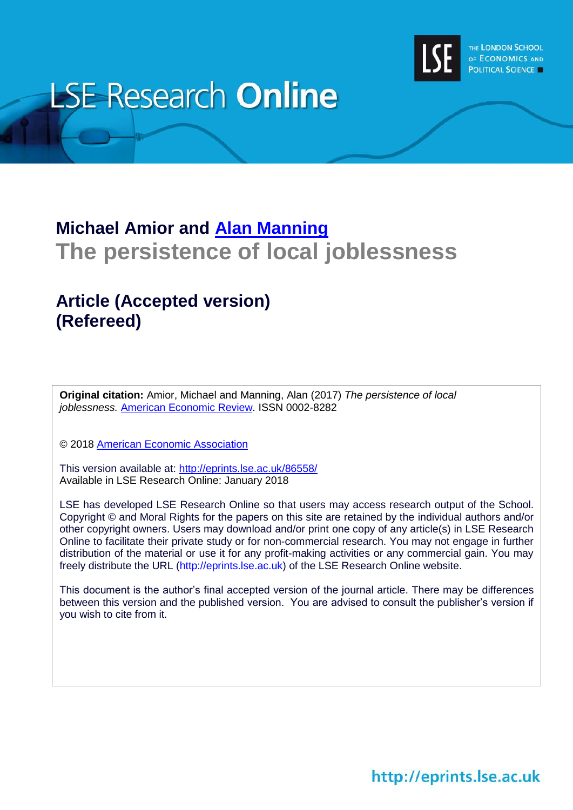

# **LSE Research Online**

## **Michael Amior and [Alan Manning](http://www.lse.ac.uk/researchAndExpertise/Experts/profile.aspx?KeyValue=a.manning@lse.ac.uk) The persistence of local joblessness**

## **Article (Accepted version) (Refereed)**

**Original citation:** Amior, Michael and Manning, Alan (2017) *The persistence of local joblessness.* [American Economic Review.](https://www.aeaweb.org/journals/aer) ISSN 0002-8282

© 2018 [American Economic Association](https://www.aeaweb.org/)

This version available at:<http://eprints.lse.ac.uk/86558/> Available in LSE Research Online: January 2018

LSE has developed LSE Research Online so that users may access research output of the School. Copyright © and Moral Rights for the papers on this site are retained by the individual authors and/or other copyright owners. Users may download and/or print one copy of any article(s) in LSE Research Online to facilitate their private study or for non-commercial research. You may not engage in further distribution of the material or use it for any profit-making activities or any commercial gain. You may freely distribute the URL (http://eprints.lse.ac.uk) of the LSE Research Online website.

This document is the author's final accepted version of the journal article. There may be differences between this version and the published version. You are advised to consult the publisher's version if you wish to cite from it.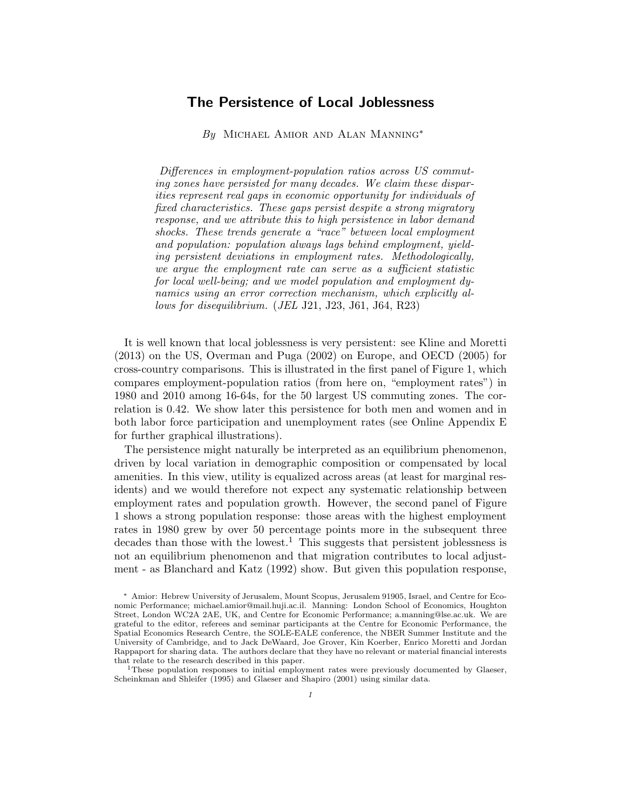### The Persistence of Local Joblessness

By MICHAEL AMIOR AND ALAN MANNING<sup>\*</sup>

Differences in employment-population ratios across US commuting zones have persisted for many decades. We claim these disparities represent real gaps in economic opportunity for individuals of fixed characteristics. These gaps persist despite a strong migratory response, and we attribute this to high persistence in labor demand shocks. These trends generate a "race" between local employment and population: population always lags behind employment, yielding persistent deviations in employment rates. Methodologically, we argue the employment rate can serve as a sufficient statistic for local well-being; and we model population and employment dynamics using an error correction mechanism, which explicitly allows for disequilibrium. (JEL J21, J23, J61, J64, R23)

It is well known that local joblessness is very persistent: see Kline and Moretti (2013) on the US, Overman and Puga (2002) on Europe, and OECD (2005) for cross-country comparisons. This is illustrated in the first panel of Figure 1, which compares employment-population ratios (from here on, "employment rates") in 1980 and 2010 among 16-64s, for the 50 largest US commuting zones. The correlation is 0.42. We show later this persistence for both men and women and in both labor force participation and unemployment rates (see Online Appendix E for further graphical illustrations).

The persistence might naturally be interpreted as an equilibrium phenomenon, driven by local variation in demographic composition or compensated by local amenities. In this view, utility is equalized across areas (at least for marginal residents) and we would therefore not expect any systematic relationship between employment rates and population growth. However, the second panel of Figure 1 shows a strong population response: those areas with the highest employment rates in 1980 grew by over 50 percentage points more in the subsequent three decades than those with the lowest.<sup>1</sup> This suggests that persistent joblessness is not an equilibrium phenomenon and that migration contributes to local adjustment - as Blanchard and Katz (1992) show. But given this population response,

<sup>1</sup>These population responses to initial employment rates were previously documented by Glaeser, Scheinkman and Shleifer (1995) and Glaeser and Shapiro (2001) using similar data.

<sup>∗</sup> Amior: Hebrew University of Jerusalem, Mount Scopus, Jerusalem 91905, Israel, and Centre for Economic Performance; michael.amior@mail.huji.ac.il. Manning: London School of Economics, Houghton Street, London WC2A 2AE, UK, and Centre for Economic Performance; a.manning@lse.ac.uk. We are grateful to the editor, referees and seminar participants at the Centre for Economic Performance, the Spatial Economics Research Centre, the SOLE-EALE conference, the NBER Summer Institute and the University of Cambridge, and to Jack DeWaard, Joe Grover, Kin Koerber, Enrico Moretti and Jordan Rappaport for sharing data. The authors declare that they have no relevant or material financial interests that relate to the research described in this paper.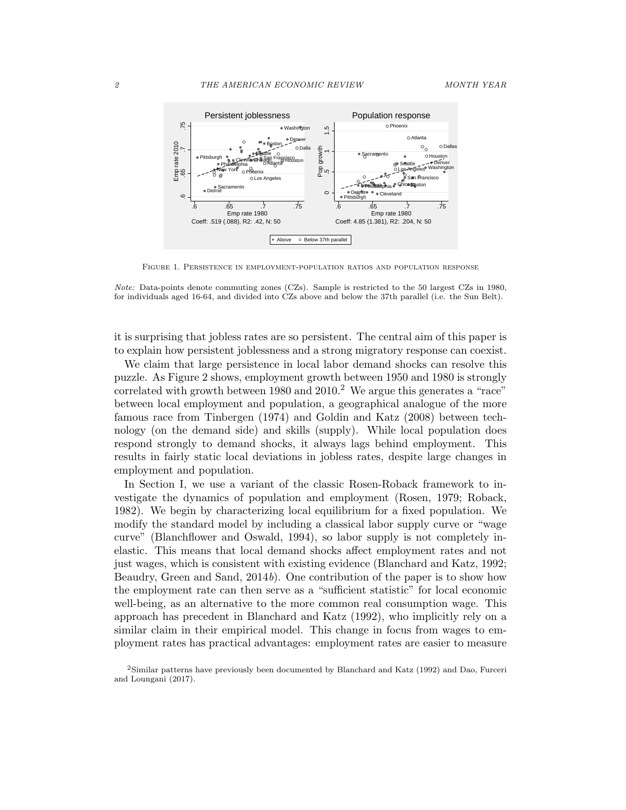

Figure 1. Persistence in employment-population ratios and population response

Note: Data-points denote commuting zones (CZs). Sample is restricted to the 50 largest CZs in 1980, for individuals aged 16-64, and divided into CZs above and below the 37th parallel (i.e. the Sun Belt).

it is surprising that jobless rates are so persistent. The central aim of this paper is to explain how persistent joblessness and a strong migratory response can coexist.

We claim that large persistence in local labor demand shocks can resolve this puzzle. As Figure 2 shows, employment growth between 1950 and 1980 is strongly correlated with growth between 1980 and  $2010<sup>2</sup>$  We argue this generates a "race" between local employment and population, a geographical analogue of the more famous race from Tinbergen (1974) and Goldin and Katz (2008) between technology (on the demand side) and skills (supply). While local population does respond strongly to demand shocks, it always lags behind employment. This results in fairly static local deviations in jobless rates, despite large changes in employment and population.

In Section I, we use a variant of the classic Rosen-Roback framework to investigate the dynamics of population and employment (Rosen, 1979; Roback, 1982). We begin by characterizing local equilibrium for a fixed population. We modify the standard model by including a classical labor supply curve or "wage curve" (Blanchflower and Oswald, 1994), so labor supply is not completely inelastic. This means that local demand shocks affect employment rates and not just wages, which is consistent with existing evidence (Blanchard and Katz, 1992; Beaudry, Green and Sand, 2014b). One contribution of the paper is to show how the employment rate can then serve as a "sufficient statistic" for local economic well-being, as an alternative to the more common real consumption wage. This approach has precedent in Blanchard and Katz (1992), who implicitly rely on a similar claim in their empirical model. This change in focus from wages to employment rates has practical advantages: employment rates are easier to measure

<sup>2</sup>Similar patterns have previously been documented by Blanchard and Katz (1992) and Dao, Furceri and Loungani (2017).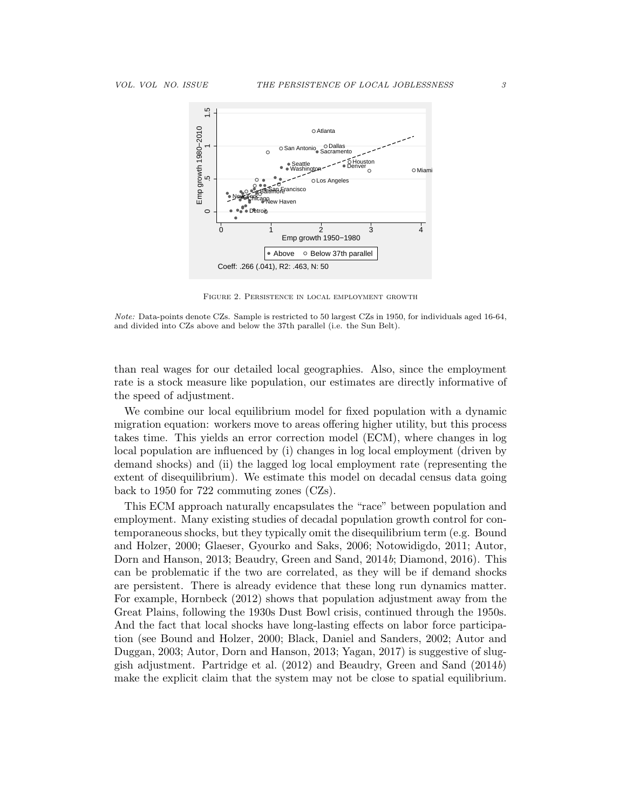

Figure 2. Persistence in local employment growth

Note: Data-points denote CZs. Sample is restricted to 50 largest CZs in 1950, for individuals aged 16-64, and divided into CZs above and below the 37th parallel (i.e. the Sun Belt).

than real wages for our detailed local geographies. Also, since the employment rate is a stock measure like population, our estimates are directly informative of the speed of adjustment.

We combine our local equilibrium model for fixed population with a dynamic migration equation: workers move to areas offering higher utility, but this process takes time. This yields an error correction model (ECM), where changes in log local population are influenced by (i) changes in log local employment (driven by demand shocks) and (ii) the lagged log local employment rate (representing the extent of disequilibrium). We estimate this model on decadal census data going back to 1950 for 722 commuting zones (CZs).

This ECM approach naturally encapsulates the "race" between population and employment. Many existing studies of decadal population growth control for contemporaneous shocks, but they typically omit the disequilibrium term (e.g. Bound and Holzer, 2000; Glaeser, Gyourko and Saks, 2006; Notowidigdo, 2011; Autor, Dorn and Hanson, 2013; Beaudry, Green and Sand, 2014b; Diamond, 2016). This can be problematic if the two are correlated, as they will be if demand shocks are persistent. There is already evidence that these long run dynamics matter. For example, Hornbeck (2012) shows that population adjustment away from the Great Plains, following the 1930s Dust Bowl crisis, continued through the 1950s. And the fact that local shocks have long-lasting effects on labor force participation (see Bound and Holzer, 2000; Black, Daniel and Sanders, 2002; Autor and Duggan, 2003; Autor, Dorn and Hanson, 2013; Yagan, 2017) is suggestive of sluggish adjustment. Partridge et al. (2012) and Beaudry, Green and Sand (2014b) make the explicit claim that the system may not be close to spatial equilibrium.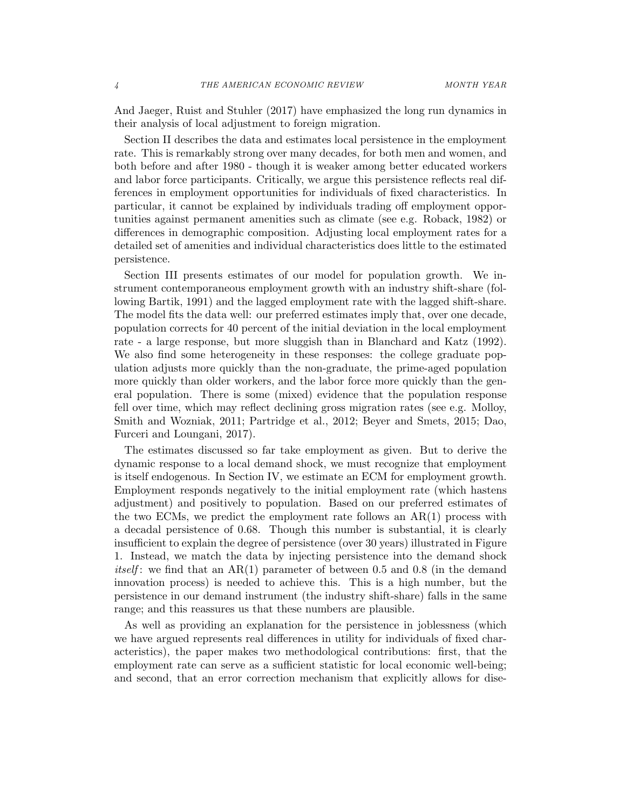And Jaeger, Ruist and Stuhler (2017) have emphasized the long run dynamics in their analysis of local adjustment to foreign migration.

Section II describes the data and estimates local persistence in the employment rate. This is remarkably strong over many decades, for both men and women, and both before and after 1980 - though it is weaker among better educated workers and labor force participants. Critically, we argue this persistence reflects real differences in employment opportunities for individuals of fixed characteristics. In particular, it cannot be explained by individuals trading off employment opportunities against permanent amenities such as climate (see e.g. Roback, 1982) or differences in demographic composition. Adjusting local employment rates for a detailed set of amenities and individual characteristics does little to the estimated persistence.

Section III presents estimates of our model for population growth. We instrument contemporaneous employment growth with an industry shift-share (following Bartik, 1991) and the lagged employment rate with the lagged shift-share. The model fits the data well: our preferred estimates imply that, over one decade, population corrects for 40 percent of the initial deviation in the local employment rate - a large response, but more sluggish than in Blanchard and Katz (1992). We also find some heterogeneity in these responses: the college graduate population adjusts more quickly than the non-graduate, the prime-aged population more quickly than older workers, and the labor force more quickly than the general population. There is some (mixed) evidence that the population response fell over time, which may reflect declining gross migration rates (see e.g. Molloy, Smith and Wozniak, 2011; Partridge et al., 2012; Beyer and Smets, 2015; Dao, Furceri and Loungani, 2017).

The estimates discussed so far take employment as given. But to derive the dynamic response to a local demand shock, we must recognize that employment is itself endogenous. In Section IV, we estimate an ECM for employment growth. Employment responds negatively to the initial employment rate (which hastens adjustment) and positively to population. Based on our preferred estimates of the two ECMs, we predict the employment rate follows an  $AR(1)$  process with a decadal persistence of 0.68. Though this number is substantial, it is clearly insufficient to explain the degree of persistence (over 30 years) illustrated in Figure 1. Instead, we match the data by injecting persistence into the demand shock *itself*: we find that an  $AR(1)$  parameter of between 0.5 and 0.8 (in the demand innovation process) is needed to achieve this. This is a high number, but the persistence in our demand instrument (the industry shift-share) falls in the same range; and this reassures us that these numbers are plausible.

As well as providing an explanation for the persistence in joblessness (which we have argued represents real differences in utility for individuals of fixed characteristics), the paper makes two methodological contributions: first, that the employment rate can serve as a sufficient statistic for local economic well-being; and second, that an error correction mechanism that explicitly allows for dise-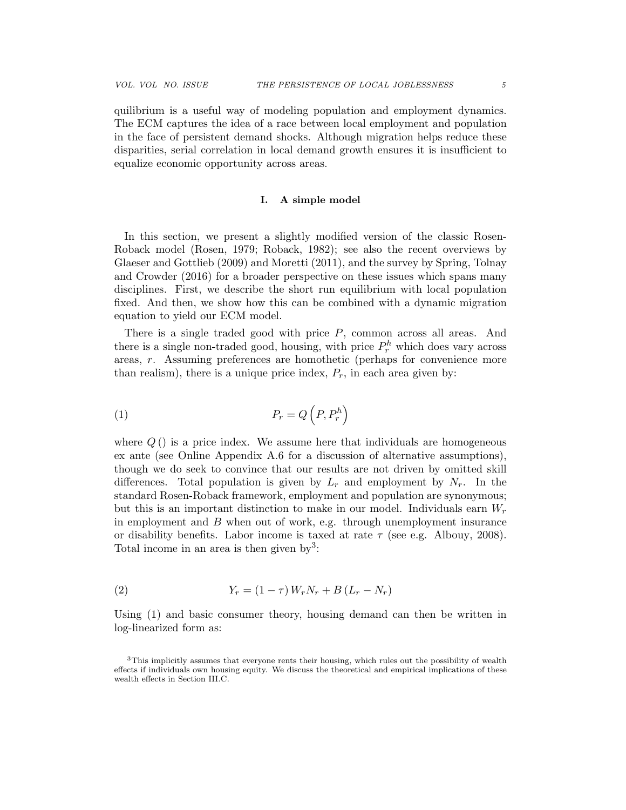quilibrium is a useful way of modeling population and employment dynamics. The ECM captures the idea of a race between local employment and population in the face of persistent demand shocks. Although migration helps reduce these disparities, serial correlation in local demand growth ensures it is insufficient to equalize economic opportunity across areas.

#### I. A simple model

In this section, we present a slightly modified version of the classic Rosen-Roback model (Rosen, 1979; Roback, 1982); see also the recent overviews by Glaeser and Gottlieb (2009) and Moretti (2011), and the survey by Spring, Tolnay and Crowder (2016) for a broader perspective on these issues which spans many disciplines. First, we describe the short run equilibrium with local population fixed. And then, we show how this can be combined with a dynamic migration equation to yield our ECM model.

There is a single traded good with price P, common across all areas. And there is a single non-traded good, housing, with price  $P_r^h$  which does vary across areas, r. Assuming preferences are homothetic (perhaps for convenience more than realism), there is a unique price index,  $P_r$ , in each area given by:

$$
(1) \t\t P_r = Q\left(P, P_r^h\right)
$$

where  $Q()$  is a price index. We assume here that individuals are homogeneous ex ante (see Online Appendix A.6 for a discussion of alternative assumptions), though we do seek to convince that our results are not driven by omitted skill differences. Total population is given by  $L_r$  and employment by  $N_r$ . In the standard Rosen-Roback framework, employment and population are synonymous; but this is an important distinction to make in our model. Individuals earn  $W_r$ in employment and  $B$  when out of work, e.g. through unemployment insurance or disability benefits. Labor income is taxed at rate  $\tau$  (see e.g. Albouy, 2008). Total income in an area is then given by<sup>3</sup>:

(2) 
$$
Y_r = (1 - \tau) W_r N_r + B (L_r - N_r)
$$

Using (1) and basic consumer theory, housing demand can then be written in log-linearized form as:

<sup>3</sup>This implicitly assumes that everyone rents their housing, which rules out the possibility of wealth effects if individuals own housing equity. We discuss the theoretical and empirical implications of these wealth effects in Section III.C.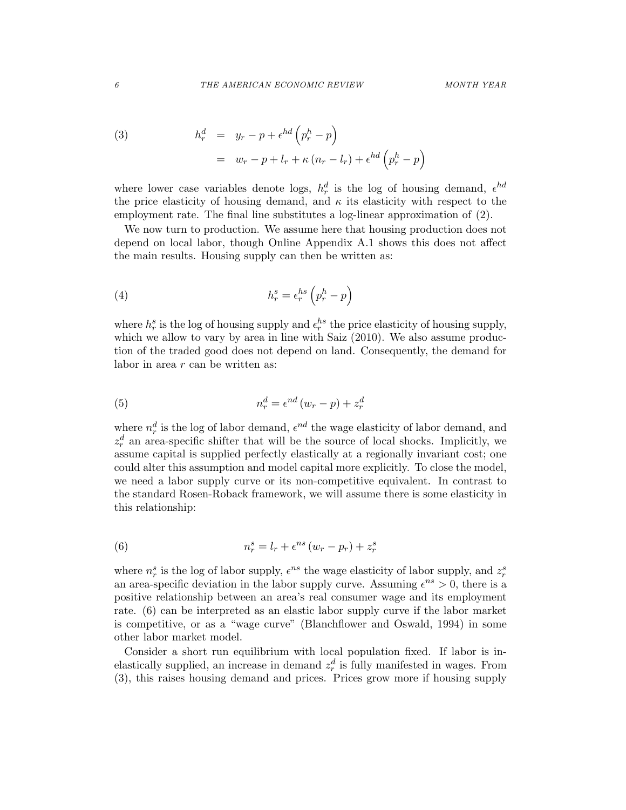(3) 
$$
h_r^d = y_r - p + \epsilon^{hd} \left( p_r^h - p \right)
$$

$$
= w_r - p + l_r + \kappa (n_r - l_r) + \epsilon^{hd} \left( p_r^h - p \right)
$$

where lower case variables denote logs,  $h_r^d$  is the log of housing demand,  $\epsilon^{hd}$ the price elasticity of housing demand, and  $\kappa$  its elasticity with respect to the employment rate. The final line substitutes a log-linear approximation of (2).

We now turn to production. We assume here that housing production does not depend on local labor, though Online Appendix A.1 shows this does not affect the main results. Housing supply can then be written as:

(4) 
$$
h_r^s = \epsilon_r^{hs} \left(p_r^h - p\right)
$$

where  $h_r^s$  is the log of housing supply and  $\epsilon_r^{hs}$  the price elasticity of housing supply, which we allow to vary by area in line with Saiz  $(2010)$ . We also assume production of the traded good does not depend on land. Consequently, the demand for labor in area  $r$  can be written as:

(5) 
$$
n_r^d = \epsilon^{nd} (w_r - p) + z_r^d
$$

where  $n_r^d$  is the log of labor demand,  $\epsilon^{nd}$  the wage elasticity of labor demand, and  $z_r^d$  an area-specific shifter that will be the source of local shocks. Implicitly, we assume capital is supplied perfectly elastically at a regionally invariant cost; one could alter this assumption and model capital more explicitly. To close the model, we need a labor supply curve or its non-competitive equivalent. In contrast to the standard Rosen-Roback framework, we will assume there is some elasticity in this relationship:

(6) 
$$
n_r^s = l_r + \epsilon^{ns} (w_r - p_r) + z_r^s
$$

where  $n_r^s$  is the log of labor supply,  $\epsilon^{ns}$  the wage elasticity of labor supply, and  $z_r^s$ an area-specific deviation in the labor supply curve. Assuming  $\epsilon^{ns} > 0$ , there is a positive relationship between an area's real consumer wage and its employment rate. (6) can be interpreted as an elastic labor supply curve if the labor market is competitive, or as a "wage curve" (Blanchflower and Oswald, 1994) in some other labor market model.

Consider a short run equilibrium with local population fixed. If labor is inelastically supplied, an increase in demand  $z_r^d$  is fully manifested in wages. From (3), this raises housing demand and prices. Prices grow more if housing supply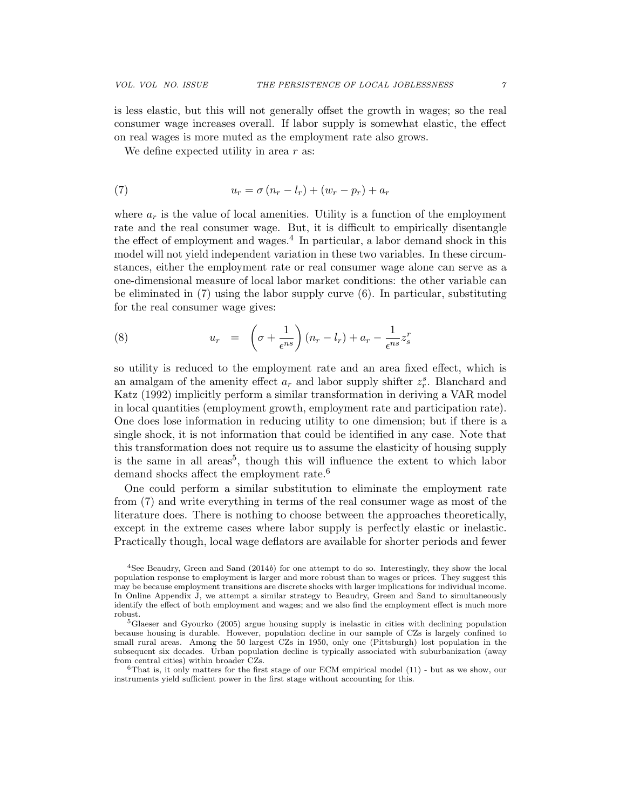is less elastic, but this will not generally offset the growth in wages; so the real consumer wage increases overall. If labor supply is somewhat elastic, the effect on real wages is more muted as the employment rate also grows.

We define expected utility in area  $r$  as:

$$
(7) \t\t u_r = \sigma (n_r - l_r) + (w_r - p_r) + a_r
$$

where  $a_r$  is the value of local amenities. Utility is a function of the employment rate and the real consumer wage. But, it is difficult to empirically disentangle the effect of employment and wages.<sup>4</sup> In particular, a labor demand shock in this model will not yield independent variation in these two variables. In these circumstances, either the employment rate or real consumer wage alone can serve as a one-dimensional measure of local labor market conditions: the other variable can be eliminated in (7) using the labor supply curve (6). In particular, substituting for the real consumer wage gives:

(8) 
$$
u_r = \left(\sigma + \frac{1}{\epsilon^{ns}}\right)(n_r - l_r) + a_r - \frac{1}{\epsilon^{ns}}z_s^r
$$

so utility is reduced to the employment rate and an area fixed effect, which is an amalgam of the amenity effect  $a_r$  and labor supply shifter  $z_r^s$ . Blanchard and Katz (1992) implicitly perform a similar transformation in deriving a VAR model in local quantities (employment growth, employment rate and participation rate). One does lose information in reducing utility to one dimension; but if there is a single shock, it is not information that could be identified in any case. Note that this transformation does not require us to assume the elasticity of housing supply is the same in all areas<sup>5</sup>, though this will influence the extent to which labor demand shocks affect the employment rate.<sup>6</sup>

One could perform a similar substitution to eliminate the employment rate from (7) and write everything in terms of the real consumer wage as most of the literature does. There is nothing to choose between the approaches theoretically, except in the extreme cases where labor supply is perfectly elastic or inelastic. Practically though, local wage deflators are available for shorter periods and fewer

<sup>4</sup>See Beaudry, Green and Sand (2014b) for one attempt to do so. Interestingly, they show the local population response to employment is larger and more robust than to wages or prices. They suggest this may be because employment transitions are discrete shocks with larger implications for individual income. In Online Appendix J, we attempt a similar strategy to Beaudry, Green and Sand to simultaneously identify the effect of both employment and wages; and we also find the employment effect is much more robust.

<sup>&</sup>lt;sup>5</sup>Glaeser and Gyourko (2005) argue housing supply is inelastic in cities with declining population because housing is durable. However, population decline in our sample of CZs is largely confined to small rural areas. Among the 50 largest CZs in 1950, only one (Pittsburgh) lost population in the subsequent six decades. Urban population decline is typically associated with suburbanization (away from central cities) within broader CZs.

 $6$ That is, it only matters for the first stage of our ECM empirical model (11) - but as we show, our instruments yield sufficient power in the first stage without accounting for this.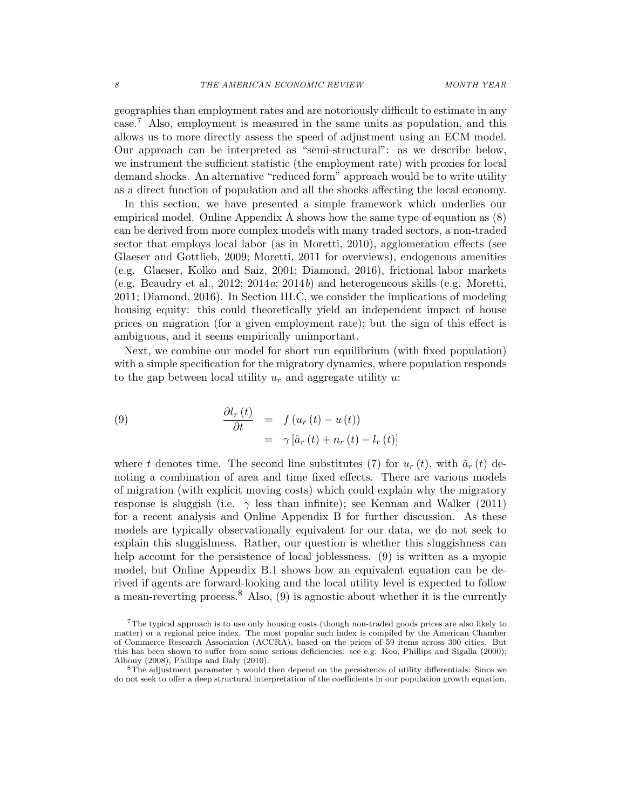geographies than employment rates and are notoriously difficult to estimate in any case.<sup>7</sup> Also, employment is measured in the same units as population, and this allows us to more directly assess the speed of adjustment using an ECM model. Our approach can be interpreted as "semi-structural": as we describe below, we instrument the sufficient statistic (the employment rate) with proxies for local demand shocks. An alternative "reduced form" approach would be to write utility as a direct function of population and all the shocks affecting the local economy.

In this section, we have presented a simple framework which underlies our empirical model. Online Appendix A shows how the same type of equation as (8) can be derived from more complex models with many traded sectors, a non-traded sector that employs local labor (as in Moretti, 2010), agglomeration effects (see Glaeser and Gottlieb, 2009; Moretti, 2011 for overviews), endogenous amenities (e.g. Glaeser, Kolko and Saiz, 2001; Diamond, 2016), frictional labor markets (e.g. Beaudry et al., 2012;  $2014a$ ;  $2014b$ ) and heterogeneous skills (e.g. Moretti, 2011; Diamond, 2016). In Section III.C, we consider the implications of modeling housing equity: this could theoretically yield an independent impact of house prices on migration (for a given employment rate); but the sign of this effect is ambiguous, and it seems empirically unimportant.

Next, we combine our model for short run equilibrium (with fixed population) with a simple specification for the migratory dynamics, where population responds to the gap between local utility  $u_r$  and aggregate utility u:

(9) 
$$
\frac{\partial l_r(t)}{\partial t} = f(u_r(t) - u(t))
$$

$$
= \gamma [\tilde{a}_r(t) + n_r(t) - l_r(t)]
$$

where t denotes time. The second line substitutes (7) for  $u_r(t)$ , with  $\tilde{a}_r(t)$  denoting a combination of area and time fixed effects. There are various models of migration (with explicit moving costs) which could explain why the migratory response is sluggish (i.e.  $\gamma$  less than infinite); see Kennan and Walker (2011) for a recent analysis and Online Appendix B for further discussion. As these models are typically observationally equivalent for our data, we do not seek to explain this sluggishness. Rather, our question is whether this sluggishness can help account for the persistence of local joblessness. (9) is written as a myopic model, but Online Appendix B.1 shows how an equivalent equation can be derived if agents are forward-looking and the local utility level is expected to follow a mean-reverting process.<sup>8</sup> Also,  $(9)$  is agnostic about whether it is the currently

<sup>7</sup>The typical approach is to use only housing costs (though non-traded goods prices are also likely to matter) or a regional price index. The most popular such index is compiled by the American Chamber of Commerce Research Association (ACCRA), based on the prices of 59 items across 300 cities. But this has been shown to suffer from some serious deficiencies: see e.g. Koo, Phillips and Sigalla (2000); Albouy (2008); Phillips and Daly (2010).

<sup>&</sup>lt;sup>8</sup>The adjustment parameter  $\gamma$  would then depend on the persistence of utility differentials. Since we do not seek to offer a deep structural interpretation of the coefficients in our population growth equation,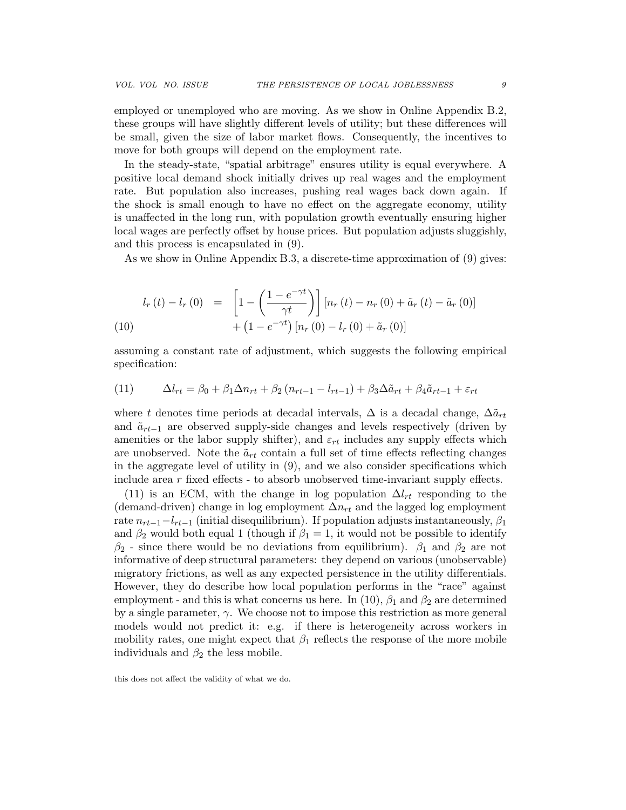employed or unemployed who are moving. As we show in Online Appendix B.2, these groups will have slightly different levels of utility; but these differences will be small, given the size of labor market flows. Consequently, the incentives to move for both groups will depend on the employment rate.

In the steady-state, "spatial arbitrage" ensures utility is equal everywhere. A positive local demand shock initially drives up real wages and the employment rate. But population also increases, pushing real wages back down again. If the shock is small enough to have no effect on the aggregate economy, utility is unaffected in the long run, with population growth eventually ensuring higher local wages are perfectly offset by house prices. But population adjusts sluggishly, and this process is encapsulated in (9).

As we show in Online Appendix B.3, a discrete-time approximation of (9) gives:

(10)  

$$
l_r(t) - l_r(0) = \left[1 - \left(\frac{1 - e^{-\gamma t}}{\gamma t}\right)\right] [n_r(t) - n_r(0) + \tilde{a}_r(t) - \tilde{a}_r(0)] + (1 - e^{-\gamma t}) [n_r(0) - l_r(0) + \tilde{a}_r(0)]
$$

assuming a constant rate of adjustment, which suggests the following empirical specification:

(11) 
$$
\Delta l_{rt} = \beta_0 + \beta_1 \Delta n_{rt} + \beta_2 (n_{rt-1} - l_{rt-1}) + \beta_3 \Delta \tilde{a}_{rt} + \beta_4 \tilde{a}_{rt-1} + \varepsilon_{rt}
$$

where t denotes time periods at decadal intervals,  $\Delta$  is a decadal change,  $\Delta \tilde{a}_{rt}$ and  $\tilde{a}_{rt-1}$  are observed supply-side changes and levels respectively (driven by amenities or the labor supply shifter), and  $\varepsilon_{rt}$  includes any supply effects which are unobserved. Note the  $\tilde{a}_{rt}$  contain a full set of time effects reflecting changes in the aggregate level of utility in (9), and we also consider specifications which include area  $r$  fixed effects  $\overline{\phantom{a}}$  to absorb unobserved time-invariant supply effects.

(11) is an ECM, with the change in log population  $\Delta l_{rt}$  responding to the (demand-driven) change in log employment  $\Delta n_{rt}$  and the lagged log employment rate  $n_{rt-1}-l_{rt-1}$  (initial disequilibrium). If population adjusts instantaneously,  $\beta_1$ and  $\beta_2$  would both equal 1 (though if  $\beta_1 = 1$ , it would not be possible to identify  $\beta_2$  - since there would be no deviations from equilibrium).  $\beta_1$  and  $\beta_2$  are not informative of deep structural parameters: they depend on various (unobservable) migratory frictions, as well as any expected persistence in the utility differentials. However, they do describe how local population performs in the "race" against employment - and this is what concerns us here. In (10),  $\beta_1$  and  $\beta_2$  are determined by a single parameter,  $\gamma$ . We choose not to impose this restriction as more general models would not predict it: e.g. if there is heterogeneity across workers in mobility rates, one might expect that  $\beta_1$  reflects the response of the more mobile individuals and  $\beta_2$  the less mobile.

this does not affect the validity of what we do.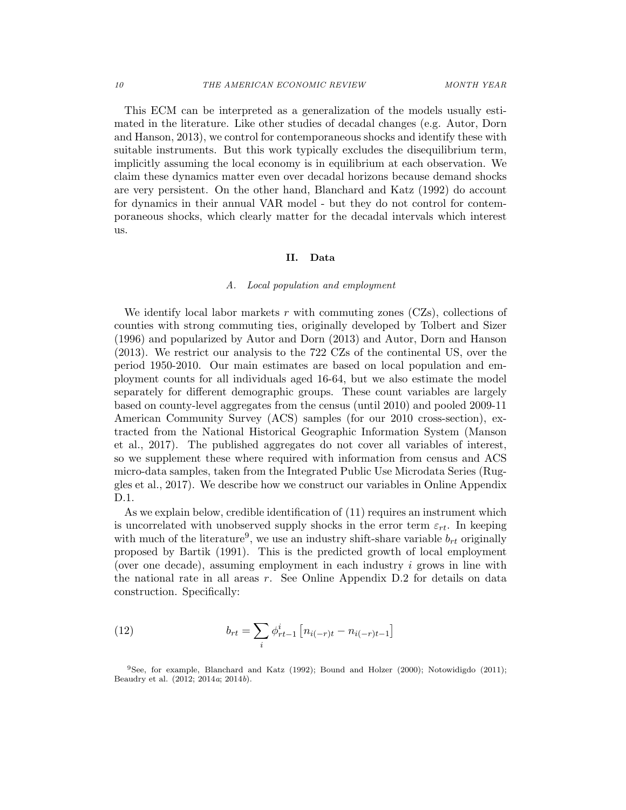This ECM can be interpreted as a generalization of the models usually estimated in the literature. Like other studies of decadal changes (e.g. Autor, Dorn and Hanson, 2013), we control for contemporaneous shocks and identify these with suitable instruments. But this work typically excludes the disequilibrium term, implicitly assuming the local economy is in equilibrium at each observation. We claim these dynamics matter even over decadal horizons because demand shocks are very persistent. On the other hand, Blanchard and Katz (1992) do account for dynamics in their annual VAR model - but they do not control for contemporaneous shocks, which clearly matter for the decadal intervals which interest us.

#### II. Data

#### A. Local population and employment

We identify local labor markets r with commuting zones  $(CZs)$ , collections of counties with strong commuting ties, originally developed by Tolbert and Sizer (1996) and popularized by Autor and Dorn (2013) and Autor, Dorn and Hanson (2013). We restrict our analysis to the 722 CZs of the continental US, over the period 1950-2010. Our main estimates are based on local population and employment counts for all individuals aged 16-64, but we also estimate the model separately for different demographic groups. These count variables are largely based on county-level aggregates from the census (until 2010) and pooled 2009-11 American Community Survey (ACS) samples (for our 2010 cross-section), extracted from the National Historical Geographic Information System (Manson et al., 2017). The published aggregates do not cover all variables of interest, so we supplement these where required with information from census and ACS micro-data samples, taken from the Integrated Public Use Microdata Series (Ruggles et al., 2017). We describe how we construct our variables in Online Appendix D.1.

As we explain below, credible identification of (11) requires an instrument which is uncorrelated with unobserved supply shocks in the error term  $\varepsilon_{rt}$ . In keeping with much of the literature<sup>9</sup>, we use an industry shift-share variable  $b_{rt}$  originally proposed by Bartik (1991). This is the predicted growth of local employment (over one decade), assuming employment in each industry  $i$  grows in line with the national rate in all areas  $r$ . See Online Appendix D.2 for details on data construction. Specifically:

(12) 
$$
b_{rt} = \sum_{i} \phi_{rt-1}^{i} \left[ n_{i(-r)t} - n_{i(-r)t-1} \right]
$$

<sup>9</sup>See, for example, Blanchard and Katz (1992); Bound and Holzer (2000); Notowidigdo (2011); Beaudry et al. (2012; 2014a; 2014b).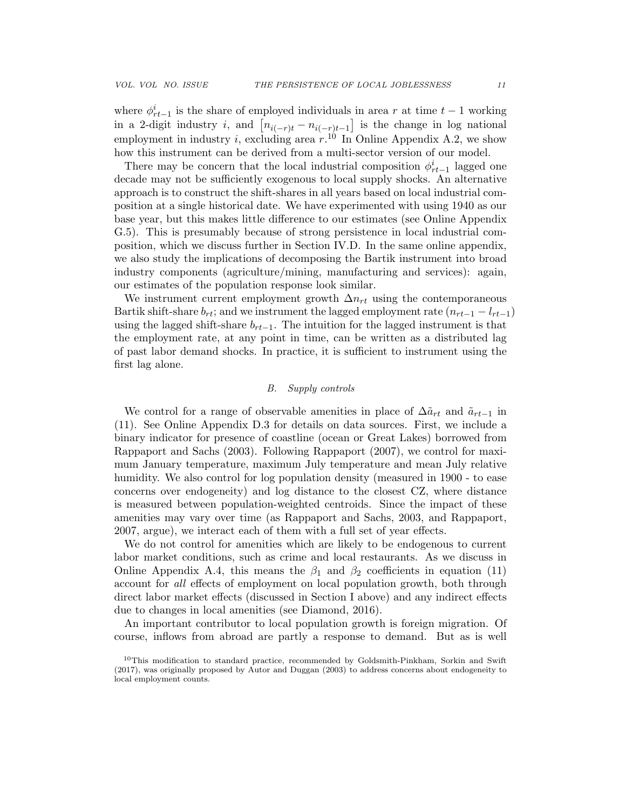where  $\phi_{rt-1}^i$  is the share of employed individuals in area r at time  $t-1$  working in a 2-digit industry *i*, and  $\left[ n_{i(-r)t} - n_{i(-r)t-1} \right]$  is the change in log national employment in industry *i*, excluding area  $r^{10}$  In Online Appendix A.2, we show how this instrument can be derived from a multi-sector version of our model.

There may be concern that the local industrial composition  $\phi_{rt-1}^i$  lagged one decade may not be sufficiently exogenous to local supply shocks. An alternative approach is to construct the shift-shares in all years based on local industrial composition at a single historical date. We have experimented with using 1940 as our base year, but this makes little difference to our estimates (see Online Appendix G.5). This is presumably because of strong persistence in local industrial composition, which we discuss further in Section IV.D. In the same online appendix, we also study the implications of decomposing the Bartik instrument into broad industry components (agriculture/mining, manufacturing and services): again, our estimates of the population response look similar.

We instrument current employment growth  $\Delta n_{rt}$  using the contemporaneous Bartik shift-share  $b_{rt}$ ; and we instrument the lagged employment rate  $(n_{rt-1} - l_{rt-1})$ using the lagged shift-share  $b_{rt-1}$ . The intuition for the lagged instrument is that the employment rate, at any point in time, can be written as a distributed lag of past labor demand shocks. In practice, it is sufficient to instrument using the first lag alone.

#### B. Supply controls

We control for a range of observable amenities in place of  $\Delta \tilde{a}_{rt}$  and  $\tilde{a}_{rt-1}$  in (11). See Online Appendix D.3 for details on data sources. First, we include a binary indicator for presence of coastline (ocean or Great Lakes) borrowed from Rappaport and Sachs (2003). Following Rappaport (2007), we control for maximum January temperature, maximum July temperature and mean July relative humidity. We also control for log population density (measured in 1900 - to ease concerns over endogeneity) and log distance to the closest CZ, where distance is measured between population-weighted centroids. Since the impact of these amenities may vary over time (as Rappaport and Sachs, 2003, and Rappaport, 2007, argue), we interact each of them with a full set of year effects.

We do not control for amenities which are likely to be endogenous to current labor market conditions, such as crime and local restaurants. As we discuss in Online Appendix A.4, this means the  $\beta_1$  and  $\beta_2$  coefficients in equation (11) account for all effects of employment on local population growth, both through direct labor market effects (discussed in Section I above) and any indirect effects due to changes in local amenities (see Diamond, 2016).

An important contributor to local population growth is foreign migration. Of course, inflows from abroad are partly a response to demand. But as is well

 $10$ This modification to standard practice, recommended by Goldsmith-Pinkham, Sorkin and Swift (2017), was originally proposed by Autor and Duggan (2003) to address concerns about endogeneity to local employment counts.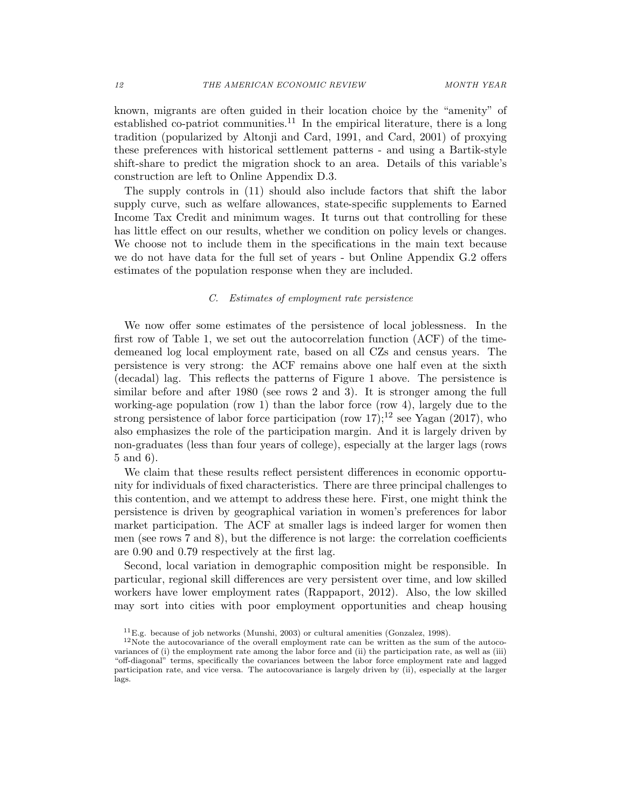known, migrants are often guided in their location choice by the "amenity" of established co-patriot communities.<sup>11</sup> In the empirical literature, there is a long tradition (popularized by Altonji and Card, 1991, and Card, 2001) of proxying these preferences with historical settlement patterns - and using a Bartik-style shift-share to predict the migration shock to an area. Details of this variable's construction are left to Online Appendix D.3.

The supply controls in (11) should also include factors that shift the labor supply curve, such as welfare allowances, state-specific supplements to Earned Income Tax Credit and minimum wages. It turns out that controlling for these has little effect on our results, whether we condition on policy levels or changes. We choose not to include them in the specifications in the main text because we do not have data for the full set of years - but Online Appendix G.2 offers estimates of the population response when they are included.

#### C. Estimates of employment rate persistence

We now offer some estimates of the persistence of local joblessness. In the first row of Table 1, we set out the autocorrelation function (ACF) of the timedemeaned log local employment rate, based on all CZs and census years. The persistence is very strong: the ACF remains above one half even at the sixth (decadal) lag. This reflects the patterns of Figure 1 above. The persistence is similar before and after 1980 (see rows 2 and 3). It is stronger among the full working-age population (row 1) than the labor force (row 4), largely due to the strong persistence of labor force participation (row 17);<sup>12</sup> see Yagan (2017), who also emphasizes the role of the participation margin. And it is largely driven by non-graduates (less than four years of college), especially at the larger lags (rows 5 and 6).

We claim that these results reflect persistent differences in economic opportunity for individuals of fixed characteristics. There are three principal challenges to this contention, and we attempt to address these here. First, one might think the persistence is driven by geographical variation in women's preferences for labor market participation. The ACF at smaller lags is indeed larger for women then men (see rows 7 and 8), but the difference is not large: the correlation coefficients are 0.90 and 0.79 respectively at the first lag.

Second, local variation in demographic composition might be responsible. In particular, regional skill differences are very persistent over time, and low skilled workers have lower employment rates (Rappaport, 2012). Also, the low skilled may sort into cities with poor employment opportunities and cheap housing

 ${}^{11}E.g.$  because of job networks (Munshi, 2003) or cultural amenities (Gonzalez, 1998).

 $12$ Note the autocovariance of the overall employment rate can be written as the sum of the autocovariances of (i) the employment rate among the labor force and (ii) the participation rate, as well as (iii) "off-diagonal" terms, specifically the covariances between the labor force employment rate and lagged participation rate, and vice versa. The autocovariance is largely driven by (ii), especially at the larger lags.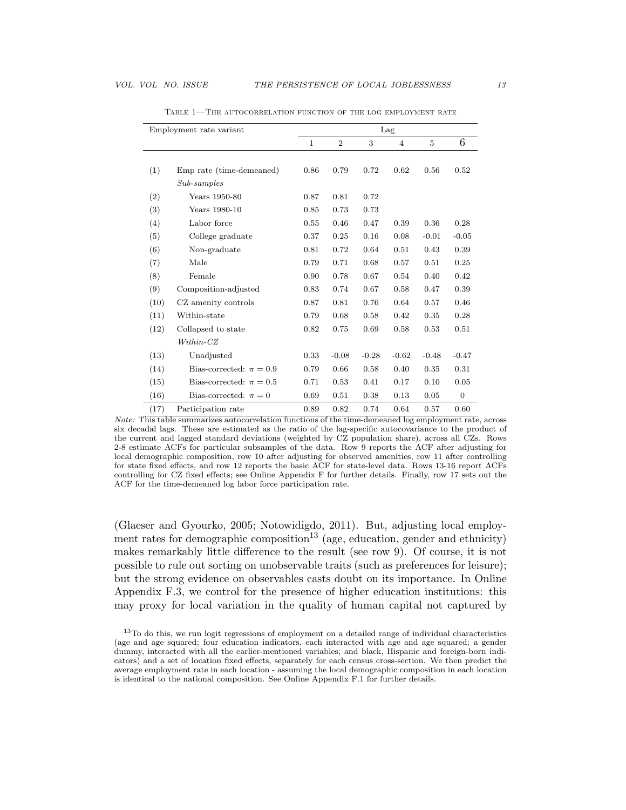|      | Employment rate variant     |      | Lag<br>3<br>$\mathbf{1}$<br>$\overline{2}$<br>$\overline{4}$<br>5<br>0.86<br>0.79<br>0.72<br>0.62<br>0.56<br>0.87<br>0.81<br>0.72<br>0.85<br>0.73<br>0.73<br>0.55<br>0.46<br>0.47<br>0.39<br>0.36<br>$-0.01$<br>0.37<br>0.25<br>0.16<br>0.08<br>0.81<br>0.72<br>0.64<br>0.51<br>0.43<br>0.68<br>0.79<br>0.71<br>0.57<br>0.51<br>0.67<br>0.40<br>0.90<br>0.78<br>0.54<br>0.67<br>0.47<br>0.83<br>0.74<br>0.58<br>0.87<br>0.81<br>0.76<br>0.64<br>0.57<br>0.68<br>0.42<br>0.35<br>0.79<br>0.58<br>0.82<br>0.75<br>0.69<br>0.53<br>0.58<br>0.33<br>$-0.28$<br>$-0.62$<br>$-0.08$<br>$-0.48$<br>0.66<br>0.58<br>0.40<br>0.35<br>0.79 |      |      |      |              |
|------|-----------------------------|------|----------------------------------------------------------------------------------------------------------------------------------------------------------------------------------------------------------------------------------------------------------------------------------------------------------------------------------------------------------------------------------------------------------------------------------------------------------------------------------------------------------------------------------------------------------------------------------------------------------------------------------|------|------|------|--------------|
|      |                             |      |                                                                                                                                                                                                                                                                                                                                                                                                                                                                                                                                                                                                                                  |      |      |      | 6            |
|      |                             |      |                                                                                                                                                                                                                                                                                                                                                                                                                                                                                                                                                                                                                                  |      |      |      |              |
| (1)  | Emp rate (time-demeaned)    |      |                                                                                                                                                                                                                                                                                                                                                                                                                                                                                                                                                                                                                                  |      |      |      | 0.52         |
|      | $Sub-samples$               |      |                                                                                                                                                                                                                                                                                                                                                                                                                                                                                                                                                                                                                                  |      |      |      |              |
| (2)  | Years 1950-80               |      |                                                                                                                                                                                                                                                                                                                                                                                                                                                                                                                                                                                                                                  |      |      |      |              |
| (3)  | Years 1980-10               |      |                                                                                                                                                                                                                                                                                                                                                                                                                                                                                                                                                                                                                                  |      |      |      |              |
| (4)  | Labor force                 |      |                                                                                                                                                                                                                                                                                                                                                                                                                                                                                                                                                                                                                                  |      |      |      | 0.28         |
| (5)  | College graduate            |      |                                                                                                                                                                                                                                                                                                                                                                                                                                                                                                                                                                                                                                  |      |      |      | $-0.05$      |
| (6)  | Non-graduate                |      |                                                                                                                                                                                                                                                                                                                                                                                                                                                                                                                                                                                                                                  |      |      |      | 0.39         |
| (7)  | Male                        |      |                                                                                                                                                                                                                                                                                                                                                                                                                                                                                                                                                                                                                                  |      |      |      | 0.25         |
| (8)  | Female                      |      |                                                                                                                                                                                                                                                                                                                                                                                                                                                                                                                                                                                                                                  |      |      |      | 0.42         |
| (9)  | Composition-adjusted        |      |                                                                                                                                                                                                                                                                                                                                                                                                                                                                                                                                                                                                                                  |      |      |      | 0.39         |
| (10) | CZ amenity controls         |      |                                                                                                                                                                                                                                                                                                                                                                                                                                                                                                                                                                                                                                  |      |      |      | 0.46         |
| (11) | Within-state                |      |                                                                                                                                                                                                                                                                                                                                                                                                                                                                                                                                                                                                                                  |      |      |      | 0.28         |
| (12) | Collapsed to state          |      |                                                                                                                                                                                                                                                                                                                                                                                                                                                                                                                                                                                                                                  |      |      |      | 0.51         |
|      | $Within-CZ$                 |      |                                                                                                                                                                                                                                                                                                                                                                                                                                                                                                                                                                                                                                  |      |      |      |              |
| (13) | Unadjusted                  |      |                                                                                                                                                                                                                                                                                                                                                                                                                                                                                                                                                                                                                                  |      |      |      | $-0.47$      |
| (14) | Bias-corrected: $\pi = 0.9$ |      |                                                                                                                                                                                                                                                                                                                                                                                                                                                                                                                                                                                                                                  |      |      |      | 0.31         |
| (15) | Bias-corrected: $\pi = 0.5$ | 0.71 | 0.53                                                                                                                                                                                                                                                                                                                                                                                                                                                                                                                                                                                                                             | 0.41 | 0.17 | 0.10 | 0.05         |
| (16) | Bias-corrected: $\pi = 0$   | 0.69 | 0.51                                                                                                                                                                                                                                                                                                                                                                                                                                                                                                                                                                                                                             | 0.38 | 0.13 | 0.05 | $\mathbf{0}$ |
| (17) | Participation rate          | 0.89 | 0.82                                                                                                                                                                                                                                                                                                                                                                                                                                                                                                                                                                                                                             | 0.74 | 0.64 | 0.57 | 0.60         |

Table 1—The autocorrelation function of the log employment rate

(Glaeser and Gyourko, 2005; Notowidigdo, 2011). But, adjusting local employment rates for demographic composition<sup>13</sup> (age, education, gender and ethnicity) makes remarkably little difference to the result (see row 9). Of course, it is not possible to rule out sorting on unobservable traits (such as preferences for leisure); but the strong evidence on observables casts doubt on its importance. In Online Appendix F.3, we control for the presence of higher education institutions: this may proxy for local variation in the quality of human capital not captured by

Note: This table summarizes autocorrelation functions of the time-demeaned log employment rate, across six decadal lags. These are estimated as the ratio of the lag-specific autocovariance to the product of the current and lagged standard deviations (weighted by CZ population share), across all CZs. Rows 2-8 estimate ACFs for particular subsamples of the data. Row 9 reports the ACF after adjusting for local demographic composition, row 10 after adjusting for observed amenities, row 11 after controlling for state fixed effects, and row 12 reports the basic ACF for state-level data. Rows 13-16 report ACFs controlling for CZ fixed effects; see Online Appendix F for further details. Finally, row 17 sets out the ACF for the time-demeaned log labor force participation rate.

<sup>&</sup>lt;sup>13</sup>To do this, we run logit regressions of employment on a detailed range of individual characteristics (age and age squared; four education indicators, each interacted with age and age squared; a gender dummy, interacted with all the earlier-mentioned variables; and black, Hispanic and foreign-born indicators) and a set of location fixed effects, separately for each census cross-section. We then predict the average employment rate in each location - assuming the local demographic composition in each location is identical to the national composition. See Online Appendix F.1 for further details.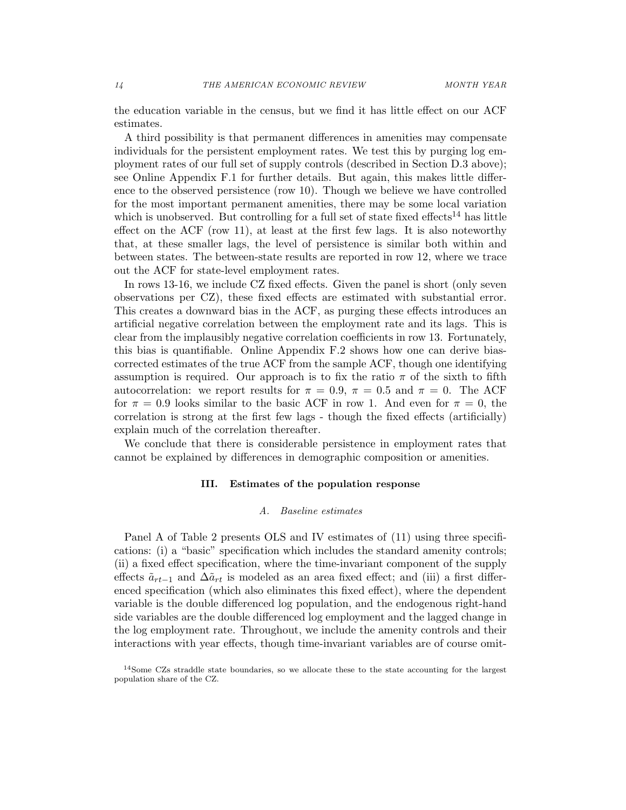the education variable in the census, but we find it has little effect on our ACF estimates.

A third possibility is that permanent differences in amenities may compensate individuals for the persistent employment rates. We test this by purging log employment rates of our full set of supply controls (described in Section D.3 above); see Online Appendix F.1 for further details. But again, this makes little difference to the observed persistence (row 10). Though we believe we have controlled for the most important permanent amenities, there may be some local variation which is unobserved. But controlling for a full set of state fixed effects<sup>14</sup> has little effect on the ACF (row 11), at least at the first few lags. It is also noteworthy that, at these smaller lags, the level of persistence is similar both within and between states. The between-state results are reported in row 12, where we trace out the ACF for state-level employment rates.

In rows 13-16, we include CZ fixed effects. Given the panel is short (only seven observations per CZ), these fixed effects are estimated with substantial error. This creates a downward bias in the ACF, as purging these effects introduces an artificial negative correlation between the employment rate and its lags. This is clear from the implausibly negative correlation coefficients in row 13. Fortunately, this bias is quantifiable. Online Appendix F.2 shows how one can derive biascorrected estimates of the true ACF from the sample ACF, though one identifying assumption is required. Our approach is to fix the ratio  $\pi$  of the sixth to fifth autocorrelation: we report results for  $\pi = 0.9$ ,  $\pi = 0.5$  and  $\pi = 0$ . The ACF for  $\pi = 0.9$  looks similar to the basic ACF in row 1. And even for  $\pi = 0$ , the correlation is strong at the first few lags - though the fixed effects (artificially) explain much of the correlation thereafter.

We conclude that there is considerable persistence in employment rates that cannot be explained by differences in demographic composition or amenities.

#### III. Estimates of the population response

#### A. Baseline estimates

Panel A of Table 2 presents OLS and IV estimates of (11) using three specifications: (i) a "basic" specification which includes the standard amenity controls; (ii) a fixed effect specification, where the time-invariant component of the supply effects  $\tilde{a}_{rt-1}$  and  $\Delta \tilde{a}_{rt}$  is modeled as an area fixed effect; and (iii) a first differenced specification (which also eliminates this fixed effect), where the dependent variable is the double differenced log population, and the endogenous right-hand side variables are the double differenced log employment and the lagged change in the log employment rate. Throughout, we include the amenity controls and their interactions with year effects, though time-invariant variables are of course omit-

<sup>&</sup>lt;sup>14</sup>Some CZs straddle state boundaries, so we allocate these to the state accounting for the largest population share of the CZ.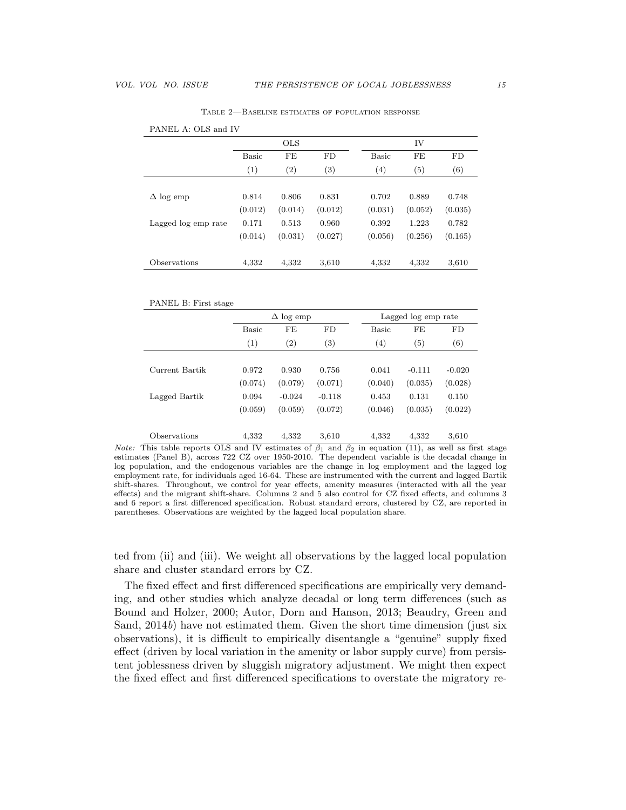|                     |              | <b>OLS</b> |          |                   | IV      |         |
|---------------------|--------------|------------|----------|-------------------|---------|---------|
|                     | <b>Basic</b> | FE         | FD       | <b>Basic</b>      | FE      | FD      |
|                     | (1)          | (2)        | $^{(3)}$ | $\left( 4\right)$ | (5)     | (6)     |
|                     |              |            |          |                   |         |         |
| $\Delta$ log emp    | 0.814        | 0.806      | 0.831    | 0.702             | 0.889   | 0.748   |
|                     | (0.012)      | (0.014)    | (0.012)  | (0.031)           | (0.052) | (0.035) |
| Lagged log emp rate | 0.171        | 0.513      | 0.960    | 0.392             | 1.223   | 0.782   |
|                     | (0.014)      | (0.031)    | (0.027)  | (0.056)           | (0.256) | (0.165) |
|                     |              |            |          |                   |         |         |
| Observations        | 4,332        | 4,332      | 3,610    | 4,332             | 4,332   | 3,610   |

Table 2—Baseline estimates of population response

PANEL B: First stage

|                |              | $\Delta$ log emp  |          |              | Lagged log emp rate |          |
|----------------|--------------|-------------------|----------|--------------|---------------------|----------|
|                | <b>Basic</b> | FE                | FD       | <b>Basic</b> | FE                  | FD       |
|                | (1)          | $\left( 2\right)$ | $^{(3)}$ | (4)          | $\left( 5\right)$   | (6)      |
|                |              |                   |          |              |                     |          |
| Current Bartik | 0.972        | 0.930             | 0.756    | 0.041        | $-0.111$            | $-0.020$ |
|                | (0.074)      | (0.079)           | (0.071)  | (0.040)      | (0.035)             | (0.028)  |
| Lagged Bartik  | 0.094        | $-0.024$          | $-0.118$ | 0.453        | 0.131               | 0.150    |
|                | (0.059)      | (0.059)           | (0.072)  | (0.046)      | (0.035)             | (0.022)  |
| Observations   | 4.332        | 4.332             | 3,610    | 4,332        | 4,332               | 3,610    |

*Note:* This table reports OLS and IV estimates of  $\beta_1$  and  $\beta_2$  in equation (11), as well as first stage estimates (Panel B), across 722 CZ over 1950-2010. The dependent variable is the decadal change in log population, and the endogenous variables are the change in log employment and the lagged log employment rate, for individuals aged 16-64. These are instrumented with the current and lagged Bartik shift-shares. Throughout, we control for year effects, amenity measures (interacted with all the year effects) and the migrant shift-share. Columns 2 and 5 also control for CZ fixed effects, and columns 3 and 6 report a first differenced specification. Robust standard errors, clustered by CZ, are reported in parentheses. Observations are weighted by the lagged local population share.

ted from (ii) and (iii). We weight all observations by the lagged local population share and cluster standard errors by CZ.

The fixed effect and first differenced specifications are empirically very demanding, and other studies which analyze decadal or long term differences (such as Bound and Holzer, 2000; Autor, Dorn and Hanson, 2013; Beaudry, Green and Sand,  $2014b$ ) have not estimated them. Given the short time dimension (just six observations), it is difficult to empirically disentangle a "genuine" supply fixed effect (driven by local variation in the amenity or labor supply curve) from persistent joblessness driven by sluggish migratory adjustment. We might then expect the fixed effect and first differenced specifications to overstate the migratory re-

PANEL A: OLS and IV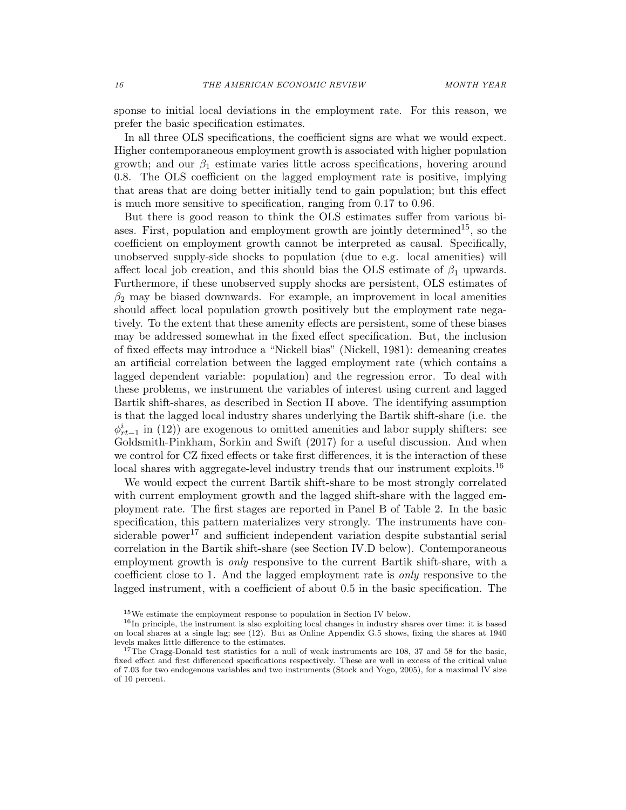sponse to initial local deviations in the employment rate. For this reason, we prefer the basic specification estimates.

In all three OLS specifications, the coefficient signs are what we would expect. Higher contemporaneous employment growth is associated with higher population growth; and our  $\beta_1$  estimate varies little across specifications, hovering around 0.8. The OLS coefficient on the lagged employment rate is positive, implying that areas that are doing better initially tend to gain population; but this effect is much more sensitive to specification, ranging from 0.17 to 0.96.

But there is good reason to think the OLS estimates suffer from various biases. First, population and employment growth are jointly determined<sup>15</sup>, so the coefficient on employment growth cannot be interpreted as causal. Specifically, unobserved supply-side shocks to population (due to e.g. local amenities) will affect local job creation, and this should bias the OLS estimate of  $\beta_1$  upwards. Furthermore, if these unobserved supply shocks are persistent, OLS estimates of  $\beta_2$  may be biased downwards. For example, an improvement in local amenities should affect local population growth positively but the employment rate negatively. To the extent that these amenity effects are persistent, some of these biases may be addressed somewhat in the fixed effect specification. But, the inclusion of fixed effects may introduce a "Nickell bias" (Nickell, 1981): demeaning creates an artificial correlation between the lagged employment rate (which contains a lagged dependent variable: population) and the regression error. To deal with these problems, we instrument the variables of interest using current and lagged Bartik shift-shares, as described in Section II above. The identifying assumption is that the lagged local industry shares underlying the Bartik shift-share (i.e. the  $\phi_{rt-1}^{i}$  in (12)) are exogenous to omitted amenities and labor supply shifters: see Goldsmith-Pinkham, Sorkin and Swift (2017) for a useful discussion. And when we control for CZ fixed effects or take first differences, it is the interaction of these local shares with aggregate-level industry trends that our instrument exploits.<sup>16</sup>

We would expect the current Bartik shift-share to be most strongly correlated with current employment growth and the lagged shift-share with the lagged employment rate. The first stages are reported in Panel B of Table 2. In the basic specification, this pattern materializes very strongly. The instruments have considerable power<sup>17</sup> and sufficient independent variation despite substantial serial correlation in the Bartik shift-share (see Section IV.D below). Contemporaneous employment growth is only responsive to the current Bartik shift-share, with a coefficient close to 1. And the lagged employment rate is only responsive to the lagged instrument, with a coefficient of about 0.5 in the basic specification. The

<sup>15</sup>We estimate the employment response to population in Section IV below.

<sup>&</sup>lt;sup>16</sup>In principle, the instrument is also exploiting local changes in industry shares over time: it is based on local shares at a single lag; see (12). But as Online Appendix G.5 shows, fixing the shares at 1940 levels makes little difference to the estimates.

<sup>&</sup>lt;sup>17</sup>The Cragg-Donald test statistics for a null of weak instruments are 108, 37 and 58 for the basic, fixed effect and first differenced specifications respectively. These are well in excess of the critical value of 7.03 for two endogenous variables and two instruments (Stock and Yogo, 2005), for a maximal IV size of 10 percent.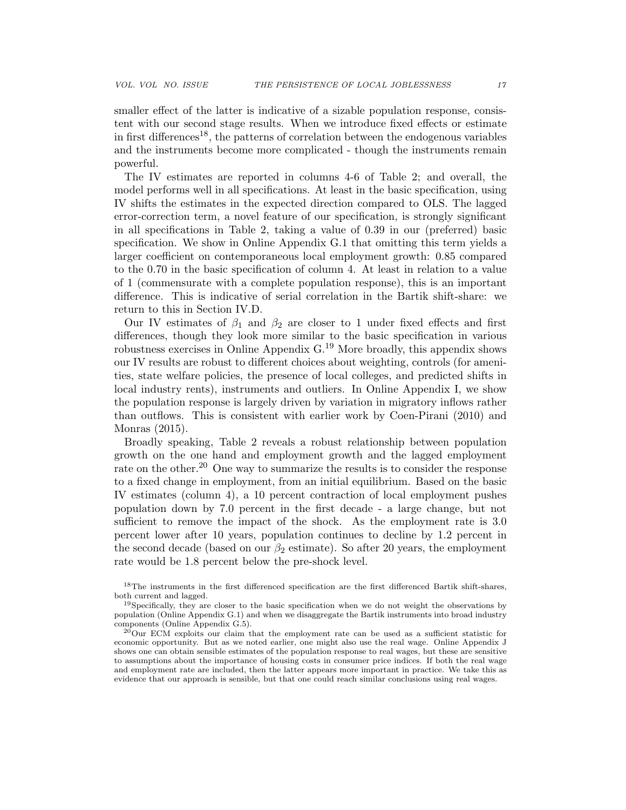smaller effect of the latter is indicative of a sizable population response, consistent with our second stage results. When we introduce fixed effects or estimate in first differences<sup>18</sup>, the patterns of correlation between the endogenous variables and the instruments become more complicated - though the instruments remain powerful.

The IV estimates are reported in columns 4-6 of Table 2; and overall, the model performs well in all specifications. At least in the basic specification, using IV shifts the estimates in the expected direction compared to OLS. The lagged error-correction term, a novel feature of our specification, is strongly significant in all specifications in Table 2, taking a value of 0.39 in our (preferred) basic specification. We show in Online Appendix G.1 that omitting this term yields a larger coefficient on contemporaneous local employment growth: 0.85 compared to the 0.70 in the basic specification of column 4. At least in relation to a value of 1 (commensurate with a complete population response), this is an important difference. This is indicative of serial correlation in the Bartik shift-share: we return to this in Section IV.D.

Our IV estimates of  $\beta_1$  and  $\beta_2$  are closer to 1 under fixed effects and first differences, though they look more similar to the basic specification in various robustness exercises in Online Appendix G.<sup>19</sup> More broadly, this appendix shows our IV results are robust to different choices about weighting, controls (for amenities, state welfare policies, the presence of local colleges, and predicted shifts in local industry rents), instruments and outliers. In Online Appendix I, we show the population response is largely driven by variation in migratory inflows rather than outflows. This is consistent with earlier work by Coen-Pirani (2010) and Monras (2015).

Broadly speaking, Table 2 reveals a robust relationship between population growth on the one hand and employment growth and the lagged employment rate on the other.<sup>20</sup> One way to summarize the results is to consider the response to a fixed change in employment, from an initial equilibrium. Based on the basic IV estimates (column 4), a 10 percent contraction of local employment pushes population down by 7.0 percent in the first decade - a large change, but not sufficient to remove the impact of the shock. As the employment rate is 3.0 percent lower after 10 years, population continues to decline by 1.2 percent in the second decade (based on our  $\beta_2$  estimate). So after 20 years, the employment rate would be 1.8 percent below the pre-shock level.

<sup>&</sup>lt;sup>18</sup>The instruments in the first differenced specification are the first differenced Bartik shift-shares, both current and lagged.

 $19$ Specifically, they are closer to the basic specification when we do not weight the observations by population (Online Appendix G.1) and when we disaggregate the Bartik instruments into broad industry components (Online Appendix G.5).

 $^{20}$ Our ECM exploits our claim that the employment rate can be used as a sufficient statistic for economic opportunity. But as we noted earlier, one might also use the real wage. Online Appendix J shows one can obtain sensible estimates of the population response to real wages, but these are sensitive to assumptions about the importance of housing costs in consumer price indices. If both the real wage and employment rate are included, then the latter appears more important in practice. We take this as evidence that our approach is sensible, but that one could reach similar conclusions using real wages.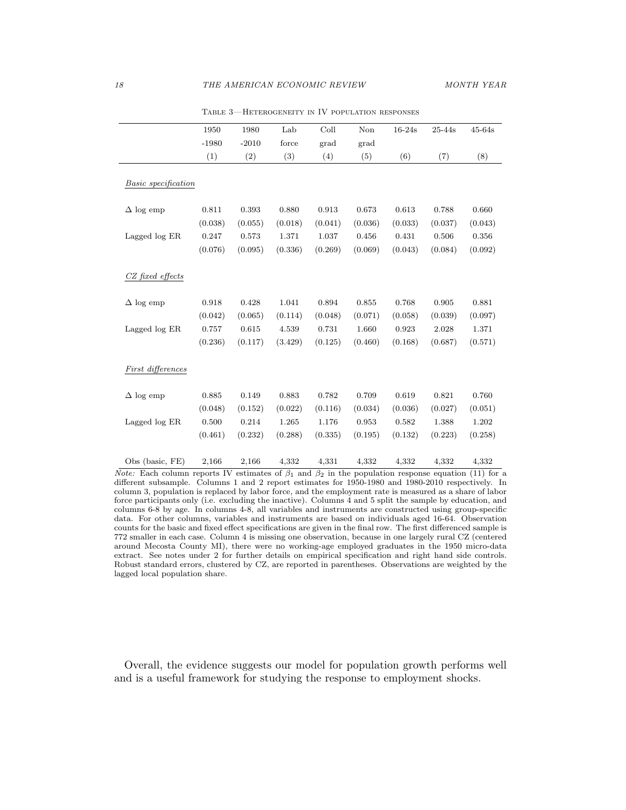|                     | 1950    | 1980    | Lab     | Coll    | Non     | $16-24s$ | $25 - 44s$ | $45-64s$ |
|---------------------|---------|---------|---------|---------|---------|----------|------------|----------|
|                     | $-1980$ | $-2010$ | force   | grad    | grad    |          |            |          |
|                     | (1)     | (2)     | (3)     | (4)     | (5)     | (6)      | (7)        | (8)      |
|                     |         |         |         |         |         |          |            |          |
| Basic specification |         |         |         |         |         |          |            |          |
|                     |         |         |         |         |         |          |            |          |
| $\Delta$ log emp    | 0.811   | 0.393   | 0.880   | 0.913   | 0.673   | 0.613    | 0.788      | 0.660    |
|                     | (0.038) | (0.055) | (0.018) | (0.041) | (0.036) | (0.033)  | (0.037)    | (0.043)  |
| Lagged log ER       | 0.247   | 0.573   | 1.371   | 1.037   | 0.456   | 0.431    | 0.506      | 0.356    |
|                     | (0.076) | (0.095) | (0.336) | (0.269) | (0.069) | (0.043)  | (0.084)    | (0.092)  |
|                     |         |         |         |         |         |          |            |          |
| CZ fixed effects    |         |         |         |         |         |          |            |          |
|                     |         |         |         |         |         |          |            |          |
| $\Delta$ log emp    | 0.918   | 0.428   | 1.041   | 0.894   | 0.855   | 0.768    | 0.905      | 0.881    |
|                     | (0.042) | (0.065) | (0.114) | (0.048) | (0.071) | (0.058)  | (0.039)    | (0.097)  |
| Lagged log ER       | 0.757   | 0.615   | 4.539   | 0.731   | 1.660   | 0.923    | 2.028      | 1.371    |
|                     | (0.236) | (0.117) | (3.429) | (0.125) | (0.460) | (0.168)  | (0.687)    | (0.571)  |
|                     |         |         |         |         |         |          |            |          |
| First differences   |         |         |         |         |         |          |            |          |
| $\Delta$ log emp    | 0.885   | 0.149   | 0.883   | 0.782   | 0.709   | 0.619    | 0.821      | 0.760    |
|                     | (0.048) | (0.152) | (0.022) | (0.116) | (0.034) | (0.036)  | (0.027)    | (0.051)  |
| Lagged log ER       | 0.500   | 0.214   | 1.265   | 1.176   | 0.953   | 0.582    | 1.388      | 1.202    |
|                     | (0.461) | (0.232) | (0.288) | (0.335) | (0.195) | (0.132)  | (0.223)    | (0.258)  |
|                     |         |         |         |         |         |          |            |          |
| Obs (basic, FE)     | 2,166   | 2,166   | 4,332   | 4,331   | 4,332   | 4,332    | 4,332      | 4,332    |

Table 3—Heterogeneity in IV population responses

*Note:* Each column reports IV estimates of  $\beta_1$  and  $\beta_2$  in the population response equation (11) for a different subsample. Columns 1 and 2 report estimates for 1950-1980 and 1980-2010 respectively. In column 3, population is replaced by labor force, and the employment rate is measured as a share of labor force participants only (i.e. excluding the inactive). Columns 4 and 5 split the sample by education, and columns 6-8 by age. In columns 4-8, all variables and instruments are constructed using group-specific data. For other columns, variables and instruments are based on individuals aged 16-64. Observation counts for the basic and fixed effect specifications are given in the final row. The first differenced sample is 772 smaller in each case. Column 4 is missing one observation, because in one largely rural CZ (centered around Mecosta County MI), there were no working-age employed graduates in the 1950 micro-data extract. See notes under 2 for further details on empirical specification and right hand side controls. Robust standard errors, clustered by CZ, are reported in parentheses. Observations are weighted by the lagged local population share.

Overall, the evidence suggests our model for population growth performs well and is a useful framework for studying the response to employment shocks.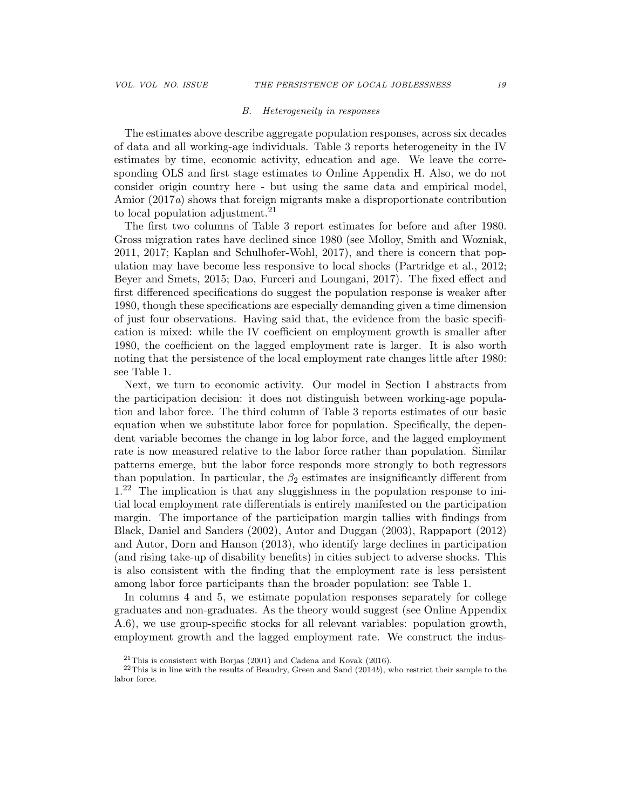#### B. Heterogeneity in responses

The estimates above describe aggregate population responses, across six decades of data and all working-age individuals. Table 3 reports heterogeneity in the IV estimates by time, economic activity, education and age. We leave the corresponding OLS and first stage estimates to Online Appendix H. Also, we do not consider origin country here - but using the same data and empirical model, Amior (2017a) shows that foreign migrants make a disproportionate contribution to local population adjustment.<sup>21</sup>

The first two columns of Table 3 report estimates for before and after 1980. Gross migration rates have declined since 1980 (see Molloy, Smith and Wozniak, 2011, 2017; Kaplan and Schulhofer-Wohl, 2017), and there is concern that population may have become less responsive to local shocks (Partridge et al., 2012; Beyer and Smets, 2015; Dao, Furceri and Loungani, 2017). The fixed effect and first differenced specifications do suggest the population response is weaker after 1980, though these specifications are especially demanding given a time dimension of just four observations. Having said that, the evidence from the basic specification is mixed: while the IV coefficient on employment growth is smaller after 1980, the coefficient on the lagged employment rate is larger. It is also worth noting that the persistence of the local employment rate changes little after 1980: see Table 1.

Next, we turn to economic activity. Our model in Section I abstracts from the participation decision: it does not distinguish between working-age population and labor force. The third column of Table 3 reports estimates of our basic equation when we substitute labor force for population. Specifically, the dependent variable becomes the change in log labor force, and the lagged employment rate is now measured relative to the labor force rather than population. Similar patterns emerge, but the labor force responds more strongly to both regressors than population. In particular, the  $\beta_2$  estimates are insignificantly different from  $1<sup>22</sup>$  The implication is that any sluggishness in the population response to initial local employment rate differentials is entirely manifested on the participation margin. The importance of the participation margin tallies with findings from Black, Daniel and Sanders (2002), Autor and Duggan (2003), Rappaport (2012) and Autor, Dorn and Hanson (2013), who identify large declines in participation (and rising take-up of disability benefits) in cities subject to adverse shocks. This is also consistent with the finding that the employment rate is less persistent among labor force participants than the broader population: see Table 1.

In columns 4 and 5, we estimate population responses separately for college graduates and non-graduates. As the theory would suggest (see Online Appendix A.6), we use group-specific stocks for all relevant variables: population growth, employment growth and the lagged employment rate. We construct the indus-

<sup>21</sup>This is consistent with Borjas (2001) and Cadena and Kovak (2016).

 $22$ This is in line with the results of Beaudry, Green and Sand (2014b), who restrict their sample to the labor force.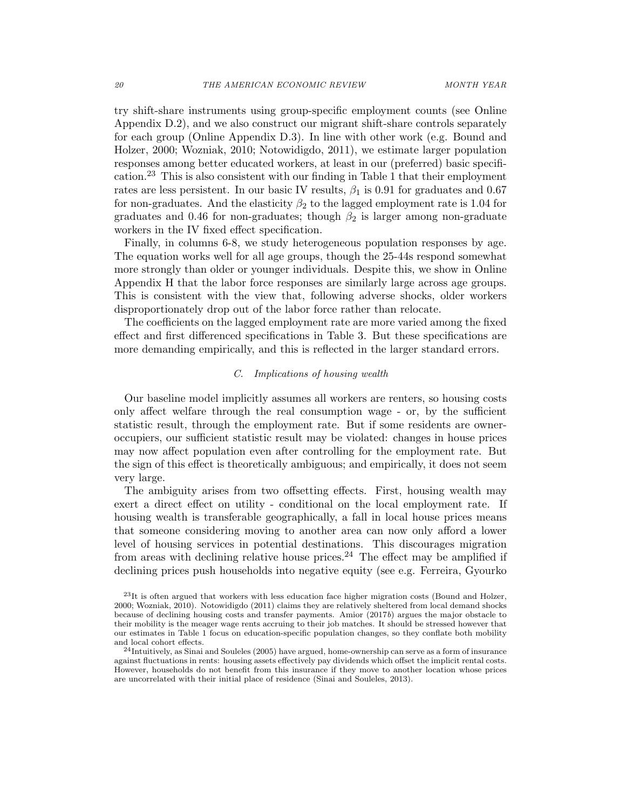try shift-share instruments using group-specific employment counts (see Online Appendix D.2), and we also construct our migrant shift-share controls separately for each group (Online Appendix D.3). In line with other work (e.g. Bound and Holzer, 2000; Wozniak, 2010; Notowidigdo, 2011), we estimate larger population responses among better educated workers, at least in our (preferred) basic specification.<sup>23</sup> This is also consistent with our finding in Table 1 that their employment rates are less persistent. In our basic IV results,  $\beta_1$  is 0.91 for graduates and 0.67 for non-graduates. And the elasticity  $\beta_2$  to the lagged employment rate is 1.04 for graduates and 0.46 for non-graduates; though  $\beta_2$  is larger among non-graduate workers in the IV fixed effect specification.

Finally, in columns 6-8, we study heterogeneous population responses by age. The equation works well for all age groups, though the 25-44s respond somewhat more strongly than older or younger individuals. Despite this, we show in Online Appendix H that the labor force responses are similarly large across age groups. This is consistent with the view that, following adverse shocks, older workers disproportionately drop out of the labor force rather than relocate.

The coefficients on the lagged employment rate are more varied among the fixed effect and first differenced specifications in Table 3. But these specifications are more demanding empirically, and this is reflected in the larger standard errors.

#### C. Implications of housing wealth

Our baseline model implicitly assumes all workers are renters, so housing costs only affect welfare through the real consumption wage - or, by the sufficient statistic result, through the employment rate. But if some residents are owneroccupiers, our sufficient statistic result may be violated: changes in house prices may now affect population even after controlling for the employment rate. But the sign of this effect is theoretically ambiguous; and empirically, it does not seem very large.

The ambiguity arises from two offsetting effects. First, housing wealth may exert a direct effect on utility - conditional on the local employment rate. If housing wealth is transferable geographically, a fall in local house prices means that someone considering moving to another area can now only afford a lower level of housing services in potential destinations. This discourages migration from areas with declining relative house prices.<sup>24</sup> The effect may be amplified if declining prices push households into negative equity (see e.g. Ferreira, Gyourko

 $^{23}$ It is often argued that workers with less education face higher migration costs (Bound and Holzer, 2000; Wozniak, 2010). Notowidigdo (2011) claims they are relatively sheltered from local demand shocks because of declining housing costs and transfer payments. Amior (2017b) argues the major obstacle to their mobility is the meager wage rents accruing to their job matches. It should be stressed however that our estimates in Table 1 focus on education-specific population changes, so they conflate both mobility and local cohort effects.

<sup>24</sup>Intuitively, as Sinai and Souleles (2005) have argued, home-ownership can serve as a form of insurance against fluctuations in rents: housing assets effectively pay dividends which offset the implicit rental costs. However, households do not benefit from this insurance if they move to another location whose prices are uncorrelated with their initial place of residence (Sinai and Souleles, 2013).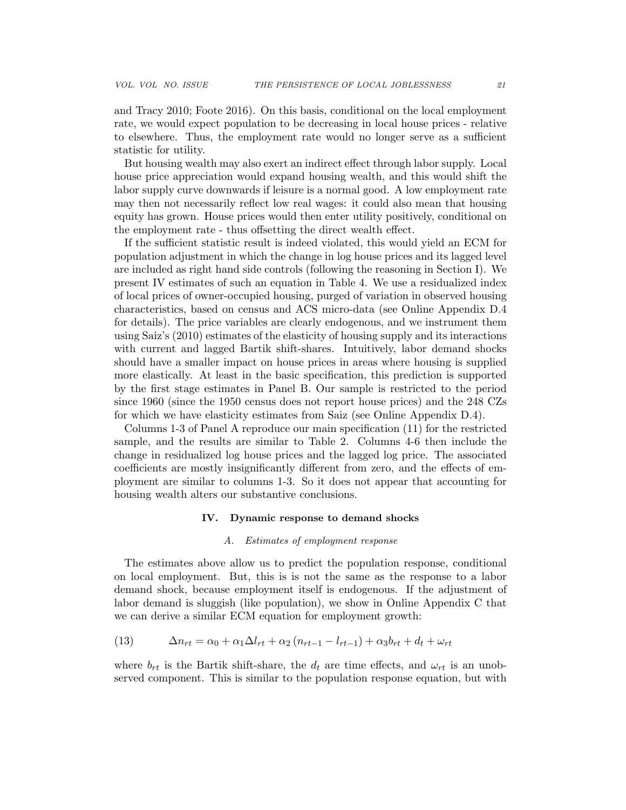and Tracy 2010; Foote 2016). On this basis, conditional on the local employment rate, we would expect population to be decreasing in local house prices - relative to elsewhere. Thus, the employment rate would no longer serve as a sufficient statistic for utility.

But housing wealth may also exert an indirect effect through labor supply. Local house price appreciation would expand housing wealth, and this would shift the labor supply curve downwards if leisure is a normal good. A low employment rate may then not necessarily reflect low real wages: it could also mean that housing equity has grown. House prices would then enter utility positively, conditional on the employment rate - thus offsetting the direct wealth effect.

If the sufficient statistic result is indeed violated, this would yield an ECM for population adjustment in which the change in log house prices and its lagged level are included as right hand side controls (following the reasoning in Section I). We present IV estimates of such an equation in Table 4. We use a residualized index of local prices of owner-occupied housing, purged of variation in observed housing characteristics, based on census and ACS micro-data (see Online Appendix D.4 for details). The price variables are clearly endogenous, and we instrument them using Saiz's (2010) estimates of the elasticity of housing supply and its interactions with current and lagged Bartik shift-shares. Intuitively, labor demand shocks should have a smaller impact on house prices in areas where housing is supplied more elastically. At least in the basic specification, this prediction is supported by the first stage estimates in Panel B. Our sample is restricted to the period since 1960 (since the 1950 census does not report house prices) and the 248 CZs for which we have elasticity estimates from Saiz (see Online Appendix D.4).

Columns 1-3 of Panel A reproduce our main specification (11) for the restricted sample, and the results are similar to Table 2. Columns 4-6 then include the change in residualized log house prices and the lagged log price. The associated coefficients are mostly insignificantly different from zero, and the effects of employment are similar to columns 1-3. So it does not appear that accounting for housing wealth alters our substantive conclusions.

#### IV. Dynamic response to demand shocks

#### A. Estimates of employment response

The estimates above allow us to predict the population response, conditional on local employment. But, this is is not the same as the response to a labor demand shock, because employment itself is endogenous. If the adjustment of labor demand is sluggish (like population), we show in Online Appendix C that we can derive a similar ECM equation for employment growth:

(13) 
$$
\Delta n_{rt} = \alpha_0 + \alpha_1 \Delta l_{rt} + \alpha_2 (n_{rt-1} - l_{rt-1}) + \alpha_3 b_{rt} + d_t + \omega_{rt}
$$

where  $b_{rt}$  is the Bartik shift-share, the  $d_t$  are time effects, and  $\omega_{rt}$  is an unobserved component. This is similar to the population response equation, but with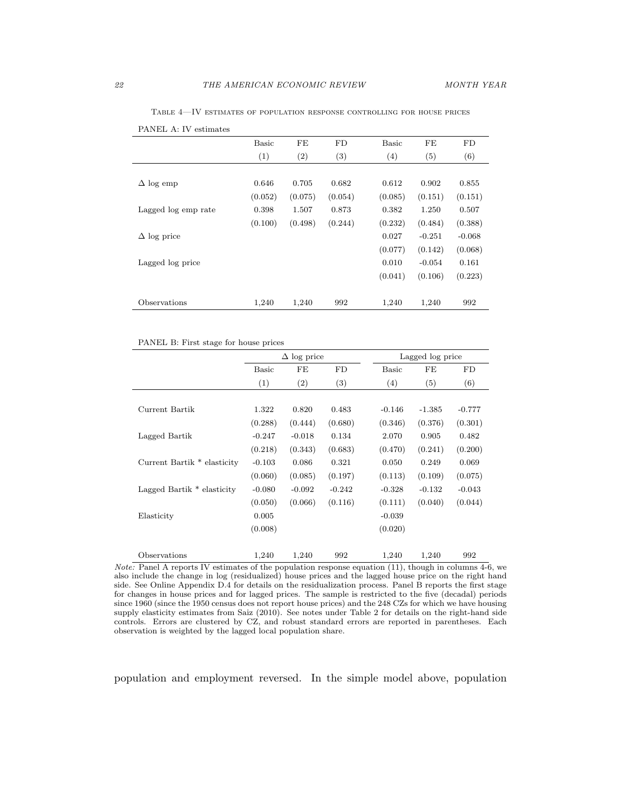|                     | Basic   | FE      | FD      | Basic   | FE       | FD       |
|---------------------|---------|---------|---------|---------|----------|----------|
|                     | (1)     | (2)     | (3)     | (4)     | (5)      | (6)      |
|                     |         |         |         |         |          |          |
| $\Delta$ log emp    | 0.646   | 0.705   | 0.682   | 0.612   | 0.902    | 0.855    |
|                     | (0.052) | (0.075) | (0.054) | (0.085) | (0.151)  | (0.151)  |
| Lagged log emp rate | 0.398   | 1.507   | 0.873   | 0.382   | 1.250    | 0.507    |
|                     | (0.100) | (0.498) | (0.244) | (0.232) | (0.484)  | (0.388)  |
| $\Delta$ log price  |         |         |         | 0.027   | $-0.251$ | $-0.068$ |
|                     |         |         |         | (0.077) | (0.142)  | (0.068)  |
| Lagged log price    |         |         |         | 0.010   | $-0.054$ | 0.161    |
|                     |         |         |         | (0.041) | (0.106)  | (0.223)  |
|                     |         |         |         |         |          |          |
| Observations        | 1,240   | 1,240   | 992     | 1,240   | 1,240    | 992      |
|                     |         |         |         |         |          |          |

Table 4—IV estimates of population response controlling for house prices

| PANEL B: First stage for house prices |  |  |  |
|---------------------------------------|--|--|--|
|                                       |  |  |  |

PANEL A: IV estimates

|                             |          | $\Delta$ log price |          |          | Lagged log price |          |
|-----------------------------|----------|--------------------|----------|----------|------------------|----------|
|                             | Basic    | FE                 | FD       | Basic    | FE               | FD       |
|                             | (1)      | (2)                | (3)      | (4)      | (5)              | (6)      |
|                             |          |                    |          |          |                  |          |
| Current Bartik              | 1.322    | 0.820              | 0.483    | $-0.146$ | $-1.385$         | $-0.777$ |
|                             | (0.288)  | (0.444)            | (0.680)  | (0.346)  | (0.376)          | (0.301)  |
| Lagged Bartik               | $-0.247$ | $-0.018$           | 0.134    | 2.070    | 0.905            | 0.482    |
|                             | (0.218)  | (0.343)            | (0.683)  | (0.470)  | (0.241)          | (0.200)  |
| Current Bartik * elasticity | $-0.103$ | 0.086              | 0.321    | 0.050    | 0.249            | 0.069    |
|                             | (0.060)  | (0.085)            | (0.197)  | (0.113)  | (0.109)          | (0.075)  |
| Lagged Bartik * elasticity  | $-0.080$ | $-0.092$           | $-0.242$ | $-0.328$ | $-0.132$         | $-0.043$ |
|                             | (0.050)  | (0.066)            | (0.116)  | (0.111)  | (0.040)          | (0.044)  |
| Elasticity                  | 0.005    |                    |          | $-0.039$ |                  |          |
|                             | (0.008)  |                    |          | (0.020)  |                  |          |
|                             |          |                    |          |          |                  |          |
| Observations                | 1,240    | 1,240              | 992      | 1,240    | 1,240            | 992      |

*Note:* Panel A reports IV estimates of the population response equation  $(11)$ , though in columns 4-6, we also include the change in log (residualized) house prices and the lagged house price on the right hand side. See Online Appendix D.4 for details on the residualization process. Panel B reports the first stage for changes in house prices and for lagged prices. The sample is restricted to the five (decadal) periods since 1960 (since the 1950 census does not report house prices) and the 248 CZs for which we have housing supply elasticity estimates from Saiz (2010). See notes under Table 2 for details on the right-hand side controls. Errors are clustered by CZ, and robust standard errors are reported in parentheses. Each observation is weighted by the lagged local population share.

population and employment reversed. In the simple model above, population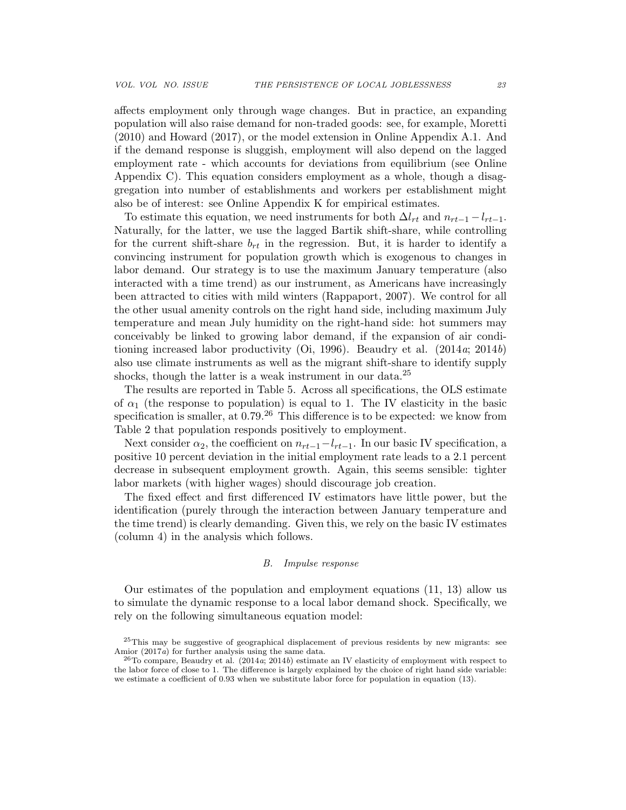affects employment only through wage changes. But in practice, an expanding population will also raise demand for non-traded goods: see, for example, Moretti (2010) and Howard (2017), or the model extension in Online Appendix A.1. And if the demand response is sluggish, employment will also depend on the lagged employment rate - which accounts for deviations from equilibrium (see Online Appendix C). This equation considers employment as a whole, though a disaggregation into number of establishments and workers per establishment might also be of interest: see Online Appendix K for empirical estimates.

To estimate this equation, we need instruments for both  $\Delta l_{rt}$  and  $n_{rt-1} - l_{rt-1}$ . Naturally, for the latter, we use the lagged Bartik shift-share, while controlling for the current shift-share  $b_{rt}$  in the regression. But, it is harder to identify a convincing instrument for population growth which is exogenous to changes in labor demand. Our strategy is to use the maximum January temperature (also interacted with a time trend) as our instrument, as Americans have increasingly been attracted to cities with mild winters (Rappaport, 2007). We control for all the other usual amenity controls on the right hand side, including maximum July temperature and mean July humidity on the right-hand side: hot summers may conceivably be linked to growing labor demand, if the expansion of air conditioning increased labor productivity (Oi, 1996). Beaudry et al.  $(2014a; 2014b)$ also use climate instruments as well as the migrant shift-share to identify supply shocks, though the latter is a weak instrument in our data.<sup>25</sup>

The results are reported in Table 5. Across all specifications, the OLS estimate of  $\alpha_1$  (the response to population) is equal to 1. The IV elasticity in the basic specification is smaller, at  $0.79<sup>26</sup>$  This difference is to be expected: we know from Table 2 that population responds positively to employment.

Next consider  $\alpha_2$ , the coefficient on  $n_{rt-1}-l_{rt-1}$ . In our basic IV specification, a positive 10 percent deviation in the initial employment rate leads to a 2.1 percent decrease in subsequent employment growth. Again, this seems sensible: tighter labor markets (with higher wages) should discourage job creation.

The fixed effect and first differenced IV estimators have little power, but the identification (purely through the interaction between January temperature and the time trend) is clearly demanding. Given this, we rely on the basic IV estimates (column 4) in the analysis which follows.

#### B. Impulse response

Our estimates of the population and employment equations (11, 13) allow us to simulate the dynamic response to a local labor demand shock. Specifically, we rely on the following simultaneous equation model:

<sup>&</sup>lt;sup>25</sup>This may be suggestive of geographical displacement of previous residents by new migrants: see Amior (2017a) for further analysis using the same data.

 $^{26}$ To compare, Beaudry et al. (2014a; 2014b) estimate an IV elasticity of employment with respect to the labor force of close to 1. The difference is largely explained by the choice of right hand side variable: we estimate a coefficient of 0.93 when we substitute labor force for population in equation (13).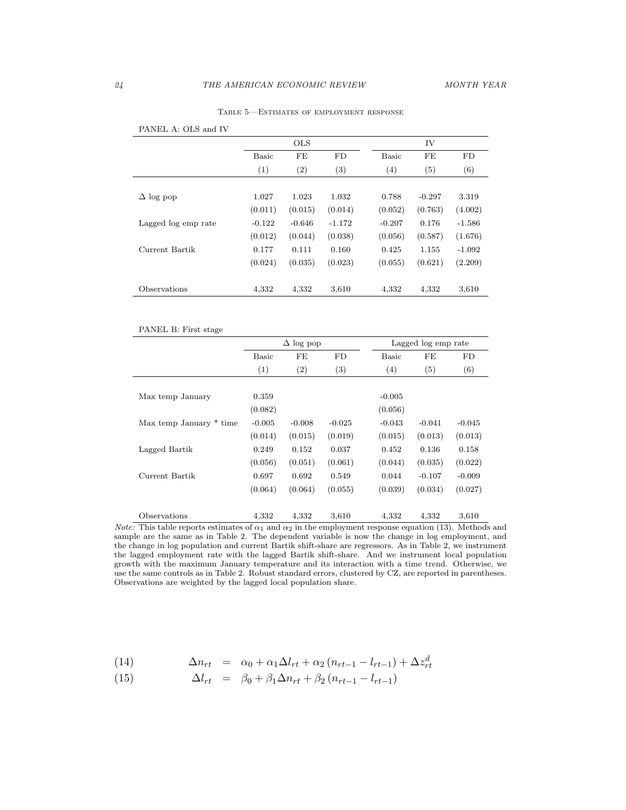|                     |              | <b>OLS</b>        |                  |                  | IV                |          |
|---------------------|--------------|-------------------|------------------|------------------|-------------------|----------|
|                     | <b>Basic</b> | FE                | FD               | <b>Basic</b>     | FE                | FD       |
|                     | (1)          | $\left( 2\right)$ | $\left(3\right)$ | $\left(4\right)$ | $\left( 5\right)$ | (6)      |
|                     |              |                   |                  |                  |                   |          |
| $\Delta$ log pop    | 1.027        | 1.023             | 1.032            | 0.788            | $-0.297$          | 3.319    |
|                     | (0.011)      | (0.015)           | (0.014)          | (0.052)          | (0.763)           | (4.002)  |
| Lagged log emp rate | $-0.122$     | $-0.646$          | $-1.172$         | $-0.207$         | 0.176             | $-1.586$ |
|                     | (0.012)      | (0.044)           | (0.038)          | (0.056)          | (0.587)           | (1.676)  |
| Current Bartik      | 0.177        | 0.111             | 0.160            | 0.425            | 1.155             | $-1.092$ |
|                     | (0.024)      | (0.035)           | (0.023)          | (0.055)          | (0.621)           | (2.209)  |
|                     |              |                   |                  |                  |                   |          |
| Observations        | 4,332        | 4,332             | 3,610            | 4,332            | 4,332             | 3,610    |

Table 5—Estimates of employment response

| PANEL A: OLS and IV |
|---------------------|
|---------------------|

#### PANEL B: First stage

|                         |          | $\Delta$ log pop  |                   |          | Lagged log emp rate |          |
|-------------------------|----------|-------------------|-------------------|----------|---------------------|----------|
|                         | Basic    | FE                | FD                | Basic    | FE                  | FD       |
|                         | (1)      | $\left( 2\right)$ | $\left( 3\right)$ | (4)      | (5)                 | (6)      |
|                         |          |                   |                   |          |                     |          |
| Max temp January        | 0.359    |                   |                   | $-0.005$ |                     |          |
|                         | (0.082)  |                   |                   | (0.056)  |                     |          |
| Max temp January * time | $-0.005$ | $-0.008$          | $-0.025$          | $-0.043$ | $-0.041$            | $-0.045$ |
|                         | (0.014)  | (0.015)           | (0.019)           | (0.015)  | (0.013)             | (0.013)  |
| Lagged Bartik           | 0.249    | 0.152             | 0.037             | 0.452    | 0.136               | 0.158    |
|                         | (0.056)  | (0.051)           | (0.061)           | (0.044)  | (0.035)             | (0.022)  |
| Current Bartik          | 0.697    | 0.692             | 0.549             | 0.044    | $-0.107$            | $-0.009$ |
|                         | (0.064)  | (0.064)           | (0.055)           | (0.039)  | (0.034)             | (0.027)  |
| Observations            | 4,332    | 4,332             | 3,610             | 4,332    | 4,332               | 3,610    |

Note: This table reports estimates of  $\alpha_1$  and  $\alpha_2$  in the employment response equation (13). Methods and sample are the same as in Table 2. The dependent variable is now the change in log employment, and the change in log population and current Bartik shift-share are regressors. As in Table 2, we instrument the lagged employment rate with the lagged Bartik shift-share. And we instrument local population growth with the maximum January temperature and its interaction with a time trend. Otherwise, we use the same controls as in Table 2. Robust standard errors, clustered by CZ, are reported in parentheses. Observations are weighted by the lagged local population share.

(14) 
$$
\Delta n_{rt} = \alpha_0 + \alpha_1 \Delta l_{rt} + \alpha_2 (n_{rt-1} - l_{rt-1}) + \Delta z_{rt}^d
$$

(15) 
$$
\Delta l_{rt} = \beta_0 + \beta_1 \Delta n_{rt} + \beta_2 (n_{rt-1} - l_{rt-1})
$$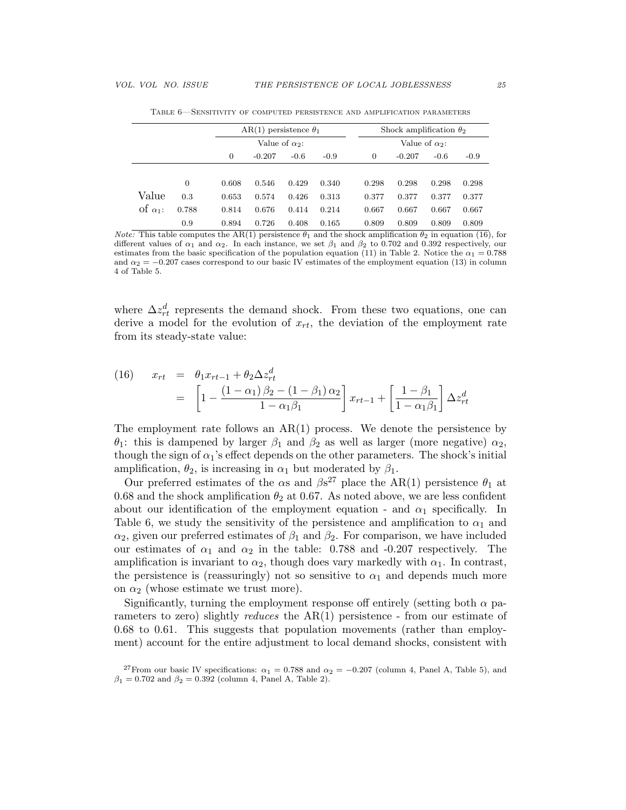|                 |                |       | AR(1) persistence $\theta_1$ |        |        |          | Shock amplification $\theta_2$ |        |        |
|-----------------|----------------|-------|------------------------------|--------|--------|----------|--------------------------------|--------|--------|
|                 |                |       | Value of $\alpha$ 2:         |        |        |          | Value of $\alpha_2$ :          |        |        |
|                 |                | 0     | $-0.207$                     | $-0.6$ | $-0.9$ | $\theta$ | $-0.207$                       | $-0.6$ | $-0.9$ |
|                 |                |       |                              |        |        |          |                                |        |        |
|                 | $\overline{0}$ | 0.608 | 0.546                        | 0.429  | 0.340  | 0.298    | 0.298                          | 0.298  | 0.298  |
| Value           | 0.3            | 0.653 | 0.574                        | 0.426  | 0.313  | 0.377    | 0.377                          | 0.377  | 0.377  |
| of $\alpha_1$ : | 0.788          | 0.814 | 0.676                        | 0.414  | 0.214  | 0.667    | 0.667                          | 0.667  | 0.667  |
|                 | 0.9            | 0.894 | 0.726                        | 0.408  | 0.165  | 0.809    | 0.809                          | 0.809  | 0.809  |

Table 6—Sensitivity of computed persistence and amplification parameters

*Note:* This table computes the AR(1) persistence  $\theta_1$  and the shock amplification  $\theta_2$  in equation (16), for different values of  $\alpha_1$  and  $\alpha_2$ . In each instance, we set  $\beta_1$  and  $\beta_2$  to 0.702 and 0.392 respectively, our estimates from the basic specification of the population equation (11) in Table 2. Notice the  $\alpha_1 = 0.788$ and  $\alpha_2 = -0.207$  cases correspond to our basic IV estimates of the employment equation (13) in column 4 of Table 5.

where  $\Delta z_{rt}^d$  represents the demand shock. From these two equations, one can derive a model for the evolution of  $x_{rt}$ , the deviation of the employment rate from its steady-state value:

(16) 
$$
x_{rt} = \theta_1 x_{rt-1} + \theta_2 \Delta z_{rt}^d
$$

$$
= \left[1 - \frac{(1 - \alpha_1)\beta_2 - (1 - \beta_1)\alpha_2}{1 - \alpha_1\beta_1}\right] x_{rt-1} + \left[\frac{1 - \beta_1}{1 - \alpha_1\beta_1}\right] \Delta z_{rt}^d
$$

The employment rate follows an  $AR(1)$  process. We denote the persistence by θ<sub>1</sub>: this is dampened by larger  $β_1$  and  $β_2$  as well as larger (more negative)  $α_2$ , though the sign of  $\alpha_1$ 's effect depends on the other parameters. The shock's initial amplification,  $\theta_2$ , is increasing in  $\alpha_1$  but moderated by  $\beta_1$ .

Our preferred estimates of the  $\alpha$ s and  $\beta s^{27}$  place the AR(1) persistence  $\theta_1$  at 0.68 and the shock amplification  $\theta_2$  at 0.67. As noted above, we are less confident about our identification of the employment equation - and  $\alpha_1$  specifically. In Table 6, we study the sensitivity of the persistence and amplification to  $\alpha_1$  and  $\alpha_2$ , given our preferred estimates of  $\beta_1$  and  $\beta_2$ . For comparison, we have included our estimates of  $\alpha_1$  and  $\alpha_2$  in the table: 0.788 and -0.207 respectively. The amplification is invariant to  $\alpha_2$ , though does vary markedly with  $\alpha_1$ . In contrast, the persistence is (reassuringly) not so sensitive to  $\alpha_1$  and depends much more on  $\alpha_2$  (whose estimate we trust more).

Significantly, turning the employment response off entirely (setting both  $\alpha$  parameters to zero) slightly *reduces* the  $AR(1)$  persistence - from our estimate of 0.68 to 0.61. This suggests that population movements (rather than employment) account for the entire adjustment to local demand shocks, consistent with

<sup>&</sup>lt;sup>27</sup>From our basic IV specifications:  $\alpha_1 = 0.788$  and  $\alpha_2 = -0.207$  (column 4, Panel A, Table 5), and  $\beta_1 = 0.702$  and  $\beta_2 = 0.392$  (column 4, Panel A, Table 2).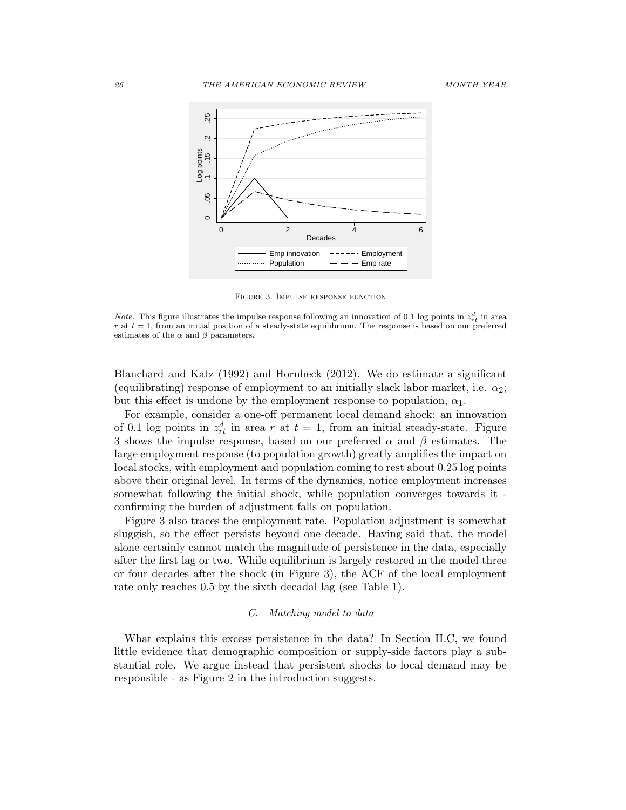

Figure 3. Impulse response function

Blanchard and Katz (1992) and Hornbeck (2012). We do estimate a significant (equilibrating) response of employment to an initially slack labor market, i.e.  $\alpha_2$ ; but this effect is undone by the employment response to population,  $\alpha_1$ .

For example, consider a one-off permanent local demand shock: an innovation of 0.1 log points in  $z_{rt}^d$  in area r at  $t = 1$ , from an initial steady-state. Figure 3 shows the impulse response, based on our preferred  $\alpha$  and  $\beta$  estimates. The large employment response (to population growth) greatly amplifies the impact on local stocks, with employment and population coming to rest about 0.25 log points above their original level. In terms of the dynamics, notice employment increases somewhat following the initial shock, while population converges towards it confirming the burden of adjustment falls on population.

Figure 3 also traces the employment rate. Population adjustment is somewhat sluggish, so the effect persists beyond one decade. Having said that, the model alone certainly cannot match the magnitude of persistence in the data, especially after the first lag or two. While equilibrium is largely restored in the model three or four decades after the shock (in Figure 3), the ACF of the local employment rate only reaches 0.5 by the sixth decadal lag (see Table 1).

#### C. Matching model to data

What explains this excess persistence in the data? In Section II.C, we found little evidence that demographic composition or supply-side factors play a substantial role. We argue instead that persistent shocks to local demand may be responsible - as Figure 2 in the introduction suggests.

*Note:* This figure illustrates the impulse response following an innovation of 0.1 log points in  $z_{rt}^d$  in area  $r$  at  $t = 1$ , from an initial position of a steady-state equilibrium. The response is based on our preferred estimates of the  $\alpha$  and  $\beta$  parameters.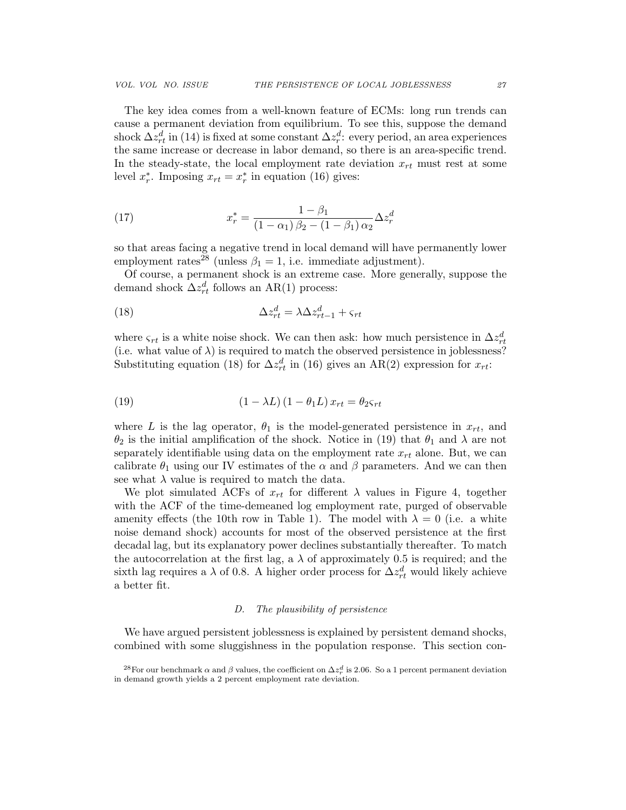The key idea comes from a well-known feature of ECMs: long run trends can cause a permanent deviation from equilibrium. To see this, suppose the demand shock  $\Delta z_{rt}^d$  in (14) is fixed at some constant  $\Delta z_r^d$ : every period, an area experiences the same increase or decrease in labor demand, so there is an area-specific trend. In the steady-state, the local employment rate deviation  $x_{rt}$  must rest at some level  $x_r^*$ . Imposing  $x_{rt} = x_r^*$  in equation (16) gives:

(17) 
$$
x_r^* = \frac{1 - \beta_1}{(1 - \alpha_1)\beta_2 - (1 - \beta_1)\alpha_2} \Delta z_r^d
$$

so that areas facing a negative trend in local demand will have permanently lower employment rates<sup>28</sup> (unless  $\beta_1 = 1$ , i.e. immediate adjustment).

Of course, a permanent shock is an extreme case. More generally, suppose the demand shock  $\Delta z_{rt}^d$  follows an AR(1) process:

(18) 
$$
\Delta z_{rt}^d = \lambda \Delta z_{rt-1}^d + \varsigma_{rt}
$$

where  $\varsigma_{rt}$  is a white noise shock. We can then ask: how much persistence in  $\Delta z_{rt}^d$ (i.e. what value of  $\lambda$ ) is required to match the observed persistence in joblessness? Substituting equation (18) for  $\Delta z_{rt}^d$  in (16) gives an AR(2) expression for  $x_{rt}$ :

(19) 
$$
(1 - \lambda L) (1 - \theta_1 L) x_{rt} = \theta_2 s_{rt}
$$

where L is the lag operator,  $\theta_1$  is the model-generated persistence in  $x_{rt}$ , and  $\theta_2$  is the initial amplification of the shock. Notice in (19) that  $\theta_1$  and  $\lambda$  are not separately identifiable using data on the employment rate  $x_{rt}$  alone. But, we can calibrate  $\theta_1$  using our IV estimates of the  $\alpha$  and  $\beta$  parameters. And we can then see what  $\lambda$  value is required to match the data.

We plot simulated ACFs of  $x_{rt}$  for different  $\lambda$  values in Figure 4, together with the ACF of the time-demeaned log employment rate, purged of observable amenity effects (the 10th row in Table 1). The model with  $\lambda = 0$  (i.e. a white noise demand shock) accounts for most of the observed persistence at the first decadal lag, but its explanatory power declines substantially thereafter. To match the autocorrelation at the first lag, a  $\lambda$  of approximately 0.5 is required; and the sixth lag requires a  $\lambda$  of 0.8. A higher order process for  $\Delta z_{rt}^d$  would likely achieve a better fit.

#### D. The plausibility of persistence

We have argued persistent joblessness is explained by persistent demand shocks, combined with some sluggishness in the population response. This section con-

<sup>&</sup>lt;sup>28</sup>For our benchmark  $\alpha$  and  $\beta$  values, the coefficient on  $\Delta z_r^d$  is 2.06. So a 1 percent permanent deviation in demand growth yields a 2 percent employment rate deviation.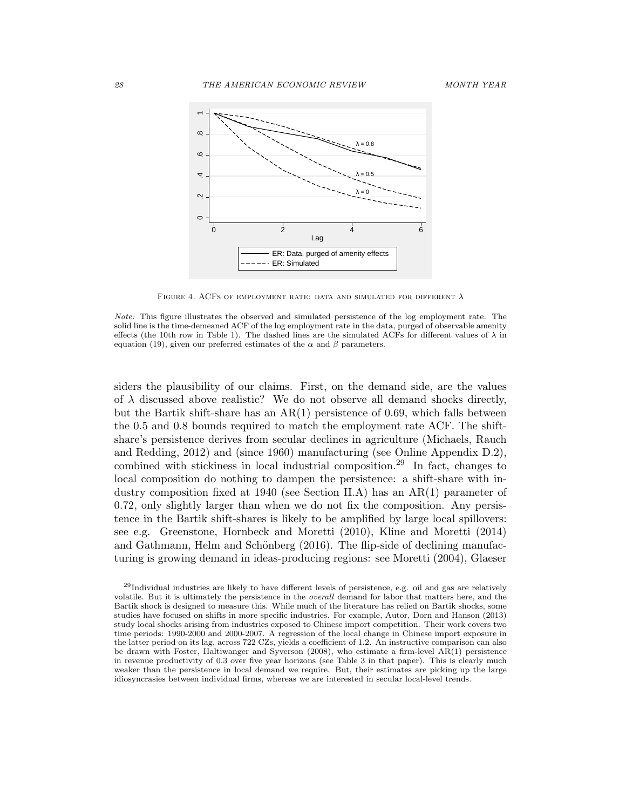

FIGURE 4. ACFS OF EMPLOYMENT RATE: DATA AND SIMULATED FOR DIFFERENT  $\lambda$ 

siders the plausibility of our claims. First, on the demand side, are the values of  $\lambda$  discussed above realistic? We do not observe all demand shocks directly, but the Bartik shift-share has an  $AR(1)$  persistence of 0.69, which falls between the 0.5 and 0.8 bounds required to match the employment rate ACF. The shiftshare's persistence derives from secular declines in agriculture (Michaels, Rauch and Redding, 2012) and (since 1960) manufacturing (see Online Appendix D.2), combined with stickiness in local industrial composition.<sup>29</sup> In fact, changes to local composition do nothing to dampen the persistence: a shift-share with industry composition fixed at 1940 (see Section II.A) has an AR(1) parameter of 0.72, only slightly larger than when we do not fix the composition. Any persistence in the Bartik shift-shares is likely to be amplified by large local spillovers: see e.g. Greenstone, Hornbeck and Moretti (2010), Kline and Moretti (2014) and Gathmann, Helm and Schönberg (2016). The flip-side of declining manufacturing is growing demand in ideas-producing regions: see Moretti (2004), Glaeser

Note: This figure illustrates the observed and simulated persistence of the log employment rate. The solid line is the time-demeaned ACF of the log employment rate in the data, purged of observable amenity effects (the 10th row in Table 1). The dashed lines are the simulated ACFs for different values of  $\lambda$  in equation (19), given our preferred estimates of the  $\alpha$  and  $\beta$  parameters.

 $29$ Individual industries are likely to have different levels of persistence, e.g. oil and gas are relatively volatile. But it is ultimately the persistence in the overall demand for labor that matters here, and the Bartik shock is designed to measure this. While much of the literature has relied on Bartik shocks, some studies have focused on shifts in more specific industries. For example, Autor, Dorn and Hanson (2013) study local shocks arising from industries exposed to Chinese import competition. Their work covers two time periods: 1990-2000 and 2000-2007. A regression of the local change in Chinese import exposure in the latter period on its lag, across 722 CZs, yields a coefficient of 1.2. An instructive comparison can also be drawn with Foster, Haltiwanger and Syverson (2008), who estimate a firm-level  $AR(1)$  persistence in revenue productivity of 0.3 over five year horizons (see Table 3 in that paper). This is clearly much weaker than the persistence in local demand we require. But, their estimates are picking up the large idiosyncrasies between individual firms, whereas we are interested in secular local-level trends.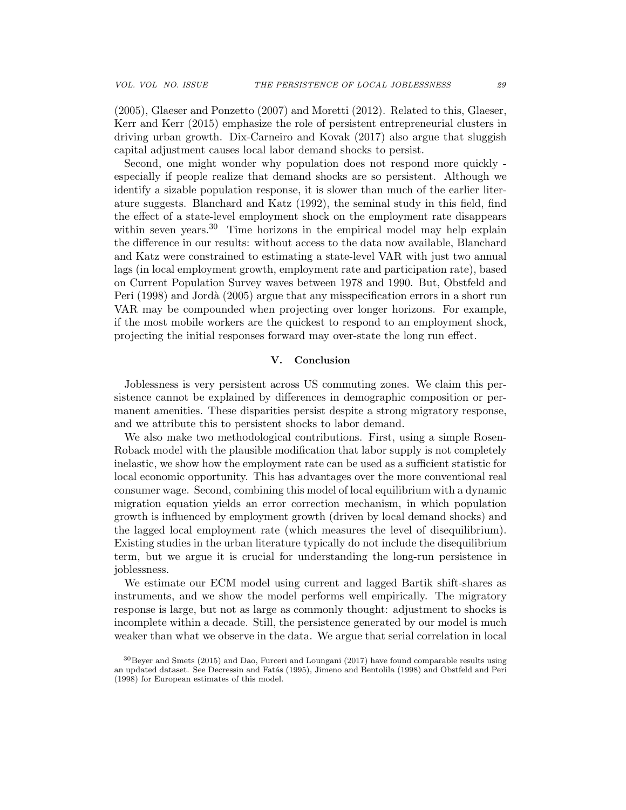(2005), Glaeser and Ponzetto (2007) and Moretti (2012). Related to this, Glaeser, Kerr and Kerr (2015) emphasize the role of persistent entrepreneurial clusters in driving urban growth. Dix-Carneiro and Kovak (2017) also argue that sluggish capital adjustment causes local labor demand shocks to persist.

Second, one might wonder why population does not respond more quickly especially if people realize that demand shocks are so persistent. Although we identify a sizable population response, it is slower than much of the earlier literature suggests. Blanchard and Katz (1992), the seminal study in this field, find the effect of a state-level employment shock on the employment rate disappears within seven years.<sup>30</sup> Time horizons in the empirical model may help explain the difference in our results: without access to the data now available, Blanchard and Katz were constrained to estimating a state-level VAR with just two annual lags (in local employment growth, employment rate and participation rate), based on Current Population Survey waves between 1978 and 1990. But, Obstfeld and Peri (1998) and Jordà (2005) argue that any misspecification errors in a short run VAR may be compounded when projecting over longer horizons. For example, if the most mobile workers are the quickest to respond to an employment shock, projecting the initial responses forward may over-state the long run effect.

#### V. Conclusion

Joblessness is very persistent across US commuting zones. We claim this persistence cannot be explained by differences in demographic composition or permanent amenities. These disparities persist despite a strong migratory response, and we attribute this to persistent shocks to labor demand.

We also make two methodological contributions. First, using a simple Rosen-Roback model with the plausible modification that labor supply is not completely inelastic, we show how the employment rate can be used as a sufficient statistic for local economic opportunity. This has advantages over the more conventional real consumer wage. Second, combining this model of local equilibrium with a dynamic migration equation yields an error correction mechanism, in which population growth is influenced by employment growth (driven by local demand shocks) and the lagged local employment rate (which measures the level of disequilibrium). Existing studies in the urban literature typically do not include the disequilibrium term, but we argue it is crucial for understanding the long-run persistence in joblessness.

We estimate our ECM model using current and lagged Bartik shift-shares as instruments, and we show the model performs well empirically. The migratory response is large, but not as large as commonly thought: adjustment to shocks is incomplete within a decade. Still, the persistence generated by our model is much weaker than what we observe in the data. We argue that serial correlation in local

<sup>30</sup>Beyer and Smets (2015) and Dao, Furceri and Loungani (2017) have found comparable results using an updated dataset. See Decressin and Fatás (1995), Jimeno and Bentolila (1998) and Obstfeld and Peri (1998) for European estimates of this model.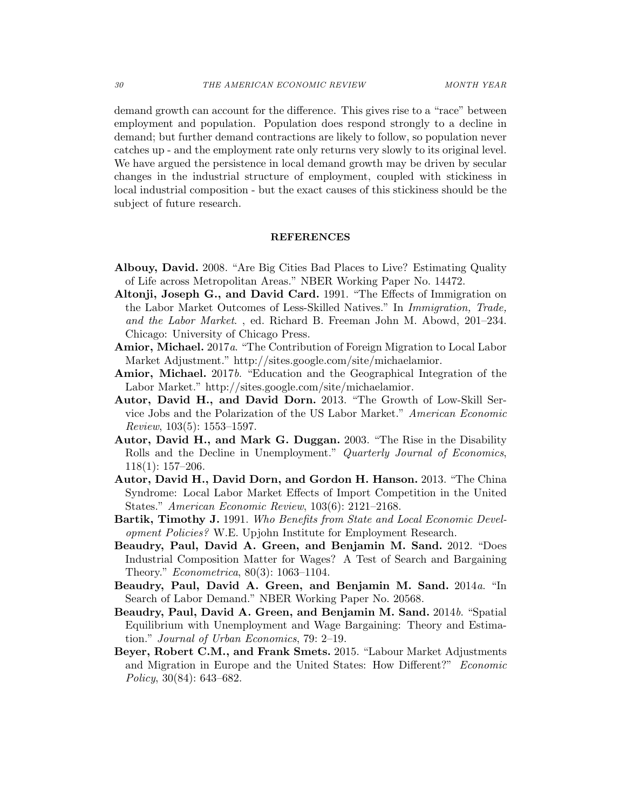demand growth can account for the difference. This gives rise to a "race" between employment and population. Population does respond strongly to a decline in demand; but further demand contractions are likely to follow, so population never catches up - and the employment rate only returns very slowly to its original level. We have argued the persistence in local demand growth may be driven by secular changes in the industrial structure of employment, coupled with stickiness in local industrial composition - but the exact causes of this stickiness should be the subject of future research.

#### REFERENCES

- Albouy, David. 2008. "Are Big Cities Bad Places to Live? Estimating Quality of Life across Metropolitan Areas." NBER Working Paper No. 14472.
- Altonji, Joseph G., and David Card. 1991. "The Effects of Immigration on the Labor Market Outcomes of Less-Skilled Natives." In Immigration, Trade, and the Labor Market. , ed. Richard B. Freeman John M. Abowd, 201–234. Chicago: University of Chicago Press.
- Amior, Michael. 2017a. "The Contribution of Foreign Migration to Local Labor Market Adjustment." http://sites.google.com/site/michaelamior.
- Amior, Michael. 2017b. "Education and the Geographical Integration of the Labor Market." http://sites.google.com/site/michaelamior.
- Autor, David H., and David Dorn. 2013. "The Growth of Low-Skill Service Jobs and the Polarization of the US Labor Market." American Economic Review,  $103(5)$ : 1553–1597.
- Autor, David H., and Mark G. Duggan. 2003. "The Rise in the Disability Rolls and the Decline in Unemployment." *Quarterly Journal of Economics*, 118(1): 157–206.
- Autor, David H., David Dorn, and Gordon H. Hanson. 2013. "The China Syndrome: Local Labor Market Effects of Import Competition in the United States." American Economic Review, 103(6): 2121–2168.
- Bartik, Timothy J. 1991. Who Benefits from State and Local Economic Development Policies? W.E. Upjohn Institute for Employment Research.
- Beaudry, Paul, David A. Green, and Benjamin M. Sand. 2012. "Does Industrial Composition Matter for Wages? A Test of Search and Bargaining Theory." Econometrica, 80(3): 1063–1104.
- Beaudry, Paul, David A. Green, and Benjamin M. Sand. 2014a. "In Search of Labor Demand." NBER Working Paper No. 20568.
- Beaudry, Paul, David A. Green, and Benjamin M. Sand. 2014b. "Spatial Equilibrium with Unemployment and Wage Bargaining: Theory and Estimation." Journal of Urban Economics, 79: 2–19.
- Beyer, Robert C.M., and Frank Smets. 2015. "Labour Market Adjustments and Migration in Europe and the United States: How Different?" Economic Policy, 30(84): 643–682.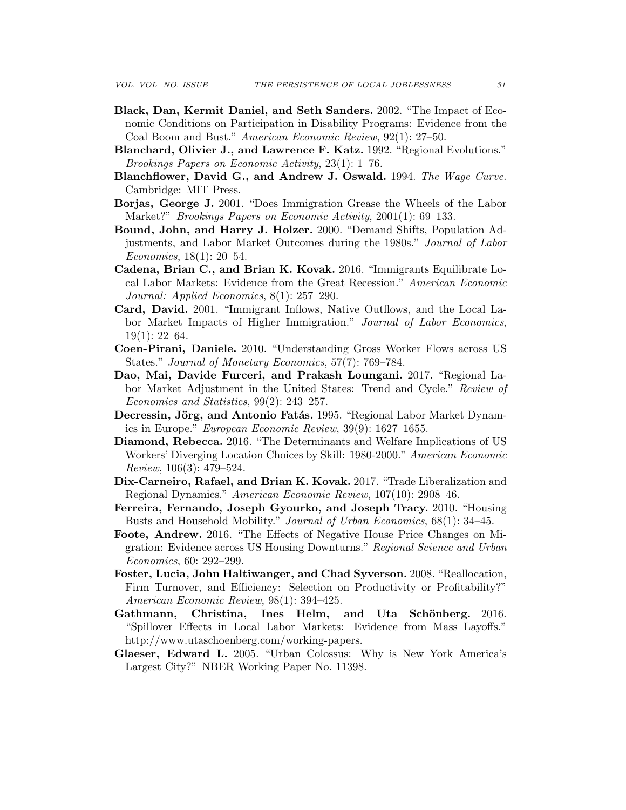- Black, Dan, Kermit Daniel, and Seth Sanders. 2002. "The Impact of Economic Conditions on Participation in Disability Programs: Evidence from the Coal Boom and Bust." American Economic Review, 92(1): 27–50.
- Blanchard, Olivier J., and Lawrence F. Katz. 1992. "Regional Evolutions." Brookings Papers on Economic Activity, 23(1): 1–76.
- Blanchflower, David G., and Andrew J. Oswald. 1994. The Wage Curve. Cambridge: MIT Press.
- Borjas, George J. 2001. "Does Immigration Grease the Wheels of the Labor Market?" *Brookings Papers on Economic Activity*, 2001(1): 69–133.
- Bound, John, and Harry J. Holzer. 2000. "Demand Shifts, Population Adjustments, and Labor Market Outcomes during the 1980s." Journal of Labor Economics, 18(1): 20–54.
- Cadena, Brian C., and Brian K. Kovak. 2016. "Immigrants Equilibrate Local Labor Markets: Evidence from the Great Recession." American Economic Journal: Applied Economics, 8(1): 257–290.
- Card, David. 2001. "Immigrant Inflows, Native Outflows, and the Local Labor Market Impacts of Higher Immigration." Journal of Labor Economics, 19(1): 22–64.
- Coen-Pirani, Daniele. 2010. "Understanding Gross Worker Flows across US States." Journal of Monetary Economics, 57(7): 769–784.
- Dao, Mai, Davide Furceri, and Prakash Loungani. 2017. "Regional Labor Market Adjustment in the United States: Trend and Cycle." Review of Economics and Statistics, 99(2): 243–257.
- Decressin, Jörg, and Antonio Fatás. 1995. "Regional Labor Market Dynamics in Europe." European Economic Review, 39(9): 1627–1655.
- Diamond, Rebecca. 2016. "The Determinants and Welfare Implications of US Workers' Diverging Location Choices by Skill: 1980-2000." American Economic Review, 106(3): 479–524.
- Dix-Carneiro, Rafael, and Brian K. Kovak. 2017. "Trade Liberalization and Regional Dynamics." American Economic Review, 107(10): 2908–46.
- Ferreira, Fernando, Joseph Gyourko, and Joseph Tracy. 2010. "Housing Busts and Household Mobility." Journal of Urban Economics, 68(1): 34–45.
- Foote, Andrew. 2016. "The Effects of Negative House Price Changes on Migration: Evidence across US Housing Downturns." Regional Science and Urban Economics, 60: 292–299.
- Foster, Lucia, John Haltiwanger, and Chad Syverson. 2008. "Reallocation, Firm Turnover, and Efficiency: Selection on Productivity or Profitability?" American Economic Review, 98(1): 394–425.
- Gathmann, Christina, Ines Helm, and Uta Schönberg. 2016. "Spillover Effects in Local Labor Markets: Evidence from Mass Layoffs." http://www.utaschoenberg.com/working-papers.
- Glaeser, Edward L. 2005. "Urban Colossus: Why is New York America's Largest City?" NBER Working Paper No. 11398.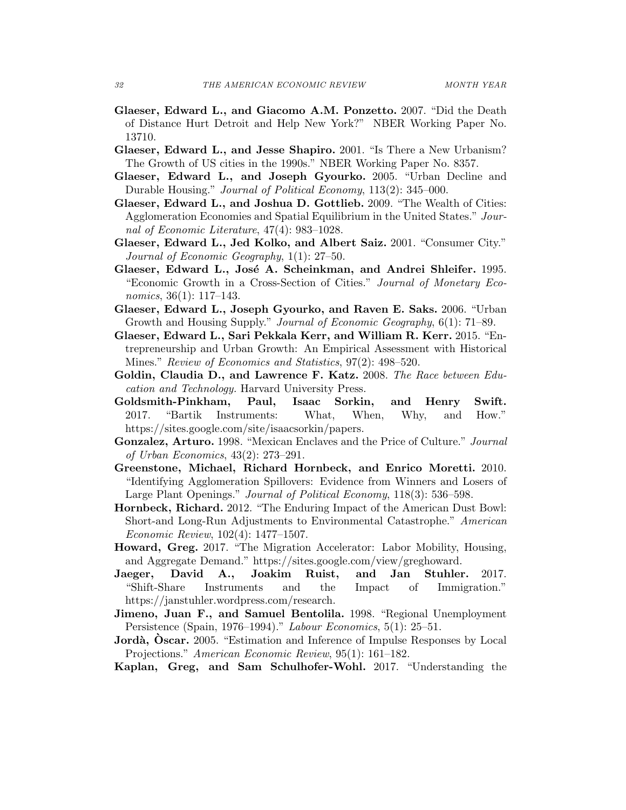- Glaeser, Edward L., and Giacomo A.M. Ponzetto. 2007. "Did the Death of Distance Hurt Detroit and Help New York?" NBER Working Paper No. 13710.
- Glaeser, Edward L., and Jesse Shapiro. 2001. "Is There a New Urbanism? The Growth of US cities in the 1990s." NBER Working Paper No. 8357.
- Glaeser, Edward L., and Joseph Gyourko. 2005. "Urban Decline and Durable Housing." Journal of Political Economy, 113(2): 345–000.
- Glaeser, Edward L., and Joshua D. Gottlieb. 2009. "The Wealth of Cities: Agglomeration Economies and Spatial Equilibrium in the United States." Journal of Economic Literature, 47(4): 983–1028.
- Glaeser, Edward L., Jed Kolko, and Albert Saiz. 2001. "Consumer City." Journal of Economic Geography, 1(1): 27–50.
- Glaeser, Edward L., José A. Scheinkman, and Andrei Shleifer. 1995. "Economic Growth in a Cross-Section of Cities." Journal of Monetary Economics,  $36(1)$ : 117–143.
- Glaeser, Edward L., Joseph Gyourko, and Raven E. Saks. 2006. "Urban Growth and Housing Supply." Journal of Economic Geography, 6(1): 71–89.
- Glaeser, Edward L., Sari Pekkala Kerr, and William R. Kerr. 2015. "Entrepreneurship and Urban Growth: An Empirical Assessment with Historical Mines." Review of Economics and Statistics, 97(2): 498–520.
- Goldin, Claudia D., and Lawrence F. Katz. 2008. The Race between Education and Technology. Harvard University Press.
- Goldsmith-Pinkham, Paul, Isaac Sorkin, and Henry Swift. 2017. "Bartik Instruments: What, When, Why, and How." https://sites.google.com/site/isaacsorkin/papers.
- Gonzalez, Arturo. 1998. "Mexican Enclaves and the Price of Culture." Journal of Urban Economics, 43(2): 273–291.
- Greenstone, Michael, Richard Hornbeck, and Enrico Moretti. 2010. "Identifying Agglomeration Spillovers: Evidence from Winners and Losers of Large Plant Openings." Journal of Political Economy, 118(3): 536–598.
- Hornbeck, Richard. 2012. "The Enduring Impact of the American Dust Bowl: Short-and Long-Run Adjustments to Environmental Catastrophe." American Economic Review, 102(4): 1477–1507.
- Howard, Greg. 2017. "The Migration Accelerator: Labor Mobility, Housing, and Aggregate Demand." https://sites.google.com/view/greghoward.
- Jaeger, David A., Joakim Ruist, and Jan Stuhler. 2017. "Shift-Share Instruments and the Impact of Immigration." https://janstuhler.wordpress.com/research.
- Jimeno, Juan F., and Samuel Bentolila. 1998. "Regional Unemployment Persistence (Spain, 1976–1994)." Labour Economics, 5(1): 25–51.
- Jordà, Oscar. 2005. "Estimation and Inference of Impulse Responses by Local Projections." American Economic Review, 95(1): 161–182.
- Kaplan, Greg, and Sam Schulhofer-Wohl. 2017. "Understanding the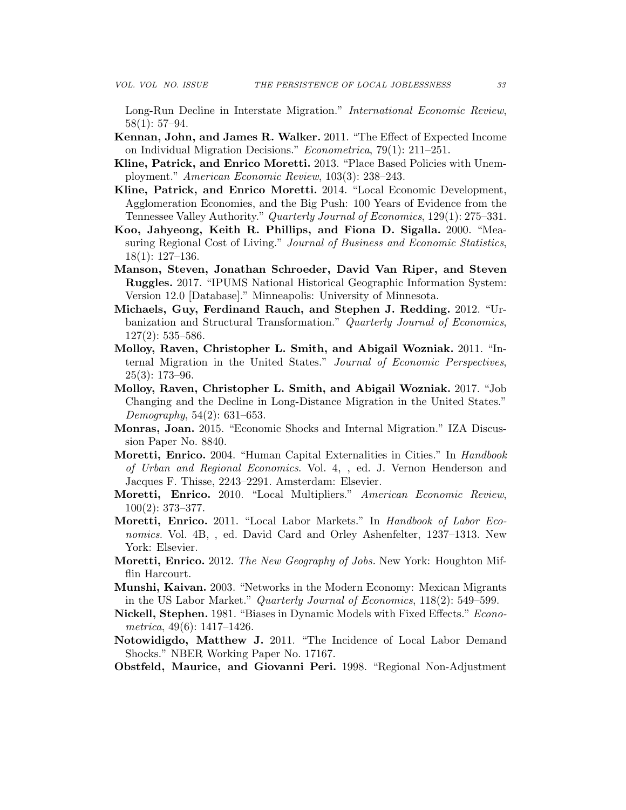Long-Run Decline in Interstate Migration." International Economic Review, 58(1): 57–94.

- Kennan, John, and James R. Walker. 2011. "The Effect of Expected Income on Individual Migration Decisions." Econometrica, 79(1): 211–251.
- Kline, Patrick, and Enrico Moretti. 2013. "Place Based Policies with Unemployment." American Economic Review, 103(3): 238–243.
- Kline, Patrick, and Enrico Moretti. 2014. "Local Economic Development, Agglomeration Economies, and the Big Push: 100 Years of Evidence from the Tennessee Valley Authority." Quarterly Journal of Economics, 129(1): 275–331.
- Koo, Jahyeong, Keith R. Phillips, and Fiona D. Sigalla. 2000. "Measuring Regional Cost of Living." Journal of Business and Economic Statistics, 18(1): 127–136.
- Manson, Steven, Jonathan Schroeder, David Van Riper, and Steven Ruggles. 2017. "IPUMS National Historical Geographic Information System: Version 12.0 [Database]." Minneapolis: University of Minnesota.
- Michaels, Guy, Ferdinand Rauch, and Stephen J. Redding. 2012. "Urbanization and Structural Transformation." Quarterly Journal of Economics, 127(2): 535–586.
- Molloy, Raven, Christopher L. Smith, and Abigail Wozniak. 2011. "Internal Migration in the United States." Journal of Economic Perspectives,  $25(3): 173-96.$
- Molloy, Raven, Christopher L. Smith, and Abigail Wozniak. 2017. "Job Changing and the Decline in Long-Distance Migration in the United States." Demography, 54(2): 631–653.
- Monras, Joan. 2015. "Economic Shocks and Internal Migration." IZA Discussion Paper No. 8840.
- Moretti, Enrico. 2004. "Human Capital Externalities in Cities." In Handbook of Urban and Regional Economics. Vol. 4, , ed. J. Vernon Henderson and Jacques F. Thisse, 2243–2291. Amsterdam: Elsevier.
- Moretti, Enrico. 2010. "Local Multipliers." American Economic Review, 100(2): 373–377.
- Moretti, Enrico. 2011. "Local Labor Markets." In Handbook of Labor Economics. Vol. 4B, , ed. David Card and Orley Ashenfelter, 1237–1313. New York: Elsevier.
- Moretti, Enrico. 2012. The New Geography of Jobs. New York: Houghton Mifflin Harcourt.
- Munshi, Kaivan. 2003. "Networks in the Modern Economy: Mexican Migrants in the US Labor Market." Quarterly Journal of Economics, 118(2): 549–599.
- Nickell, Stephen. 1981. "Biases in Dynamic Models with Fixed Effects." Econometrica, 49(6): 1417–1426.
- Notowidigdo, Matthew J. 2011. "The Incidence of Local Labor Demand Shocks." NBER Working Paper No. 17167.
- Obstfeld, Maurice, and Giovanni Peri. 1998. "Regional Non-Adjustment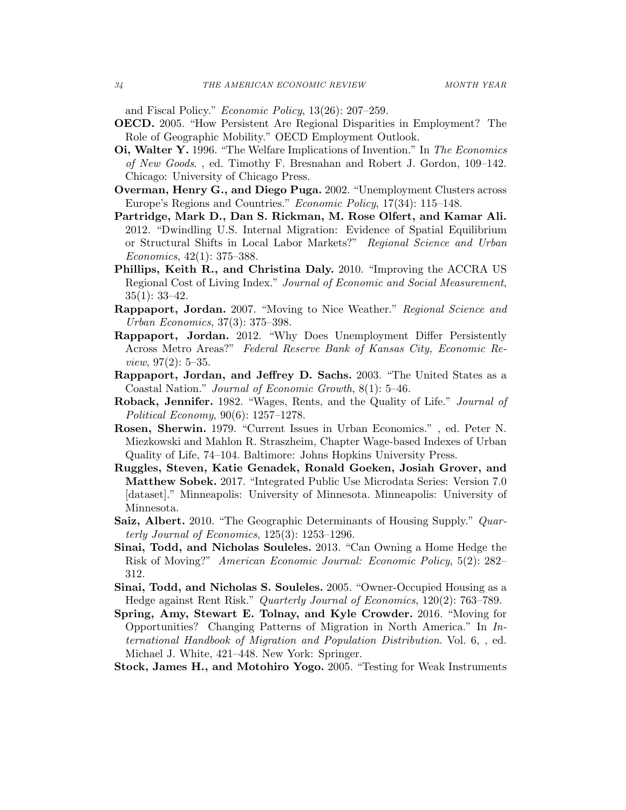and Fiscal Policy." Economic Policy, 13(26): 207–259.

- OECD. 2005. "How Persistent Are Regional Disparities in Employment? The Role of Geographic Mobility." OECD Employment Outlook.
- Oi, Walter Y. 1996. "The Welfare Implications of Invention." In The Economics of New Goods. , ed. Timothy F. Bresnahan and Robert J. Gordon, 109–142. Chicago: University of Chicago Press.
- Overman, Henry G., and Diego Puga. 2002. "Unemployment Clusters across Europe's Regions and Countries." Economic Policy, 17(34): 115–148.
- Partridge, Mark D., Dan S. Rickman, M. Rose Olfert, and Kamar Ali. 2012. "Dwindling U.S. Internal Migration: Evidence of Spatial Equilibrium or Structural Shifts in Local Labor Markets?" Regional Science and Urban Economics, 42(1): 375–388.
- Phillips, Keith R., and Christina Daly. 2010. "Improving the ACCRA US Regional Cost of Living Index." Journal of Economic and Social Measurement, 35(1): 33–42.
- Rappaport, Jordan. 2007. "Moving to Nice Weather." Regional Science and Urban Economics, 37(3): 375–398.
- Rappaport, Jordan. 2012. "Why Does Unemployment Differ Persistently Across Metro Areas?" Federal Reserve Bank of Kansas City, Economic Re*view*,  $97(2): 5-35$ .
- Rappaport, Jordan, and Jeffrey D. Sachs. 2003. "The United States as a Coastal Nation." Journal of Economic Growth, 8(1): 5–46.
- Roback, Jennifer. 1982. "Wages, Rents, and the Quality of Life." Journal of Political Economy, 90(6): 1257–1278.
- Rosen, Sherwin. 1979. "Current Issues in Urban Economics." , ed. Peter N. Miezkowski and Mahlon R. Straszheim, Chapter Wage-based Indexes of Urban Quality of Life, 74–104. Baltimore: Johns Hopkins University Press.
- Ruggles, Steven, Katie Genadek, Ronald Goeken, Josiah Grover, and Matthew Sobek. 2017. "Integrated Public Use Microdata Series: Version 7.0 [dataset]." Minneapolis: University of Minnesota. Minneapolis: University of Minnesota.
- Saiz, Albert. 2010. "The Geographic Determinants of Housing Supply." Quarterly Journal of Economics, 125(3): 1253–1296.
- Sinai, Todd, and Nicholas Souleles. 2013. "Can Owning a Home Hedge the Risk of Moving?" American Economic Journal: Economic Policy, 5(2): 282– 312.
- Sinai, Todd, and Nicholas S. Souleles. 2005. "Owner-Occupied Housing as a Hedge against Rent Risk." Quarterly Journal of Economics, 120(2): 763–789.
- Spring, Amy, Stewart E. Tolnay, and Kyle Crowder. 2016. "Moving for Opportunities? Changing Patterns of Migration in North America." In International Handbook of Migration and Population Distribution. Vol. 6, , ed. Michael J. White, 421–448. New York: Springer.
- Stock, James H., and Motohiro Yogo. 2005. "Testing for Weak Instruments